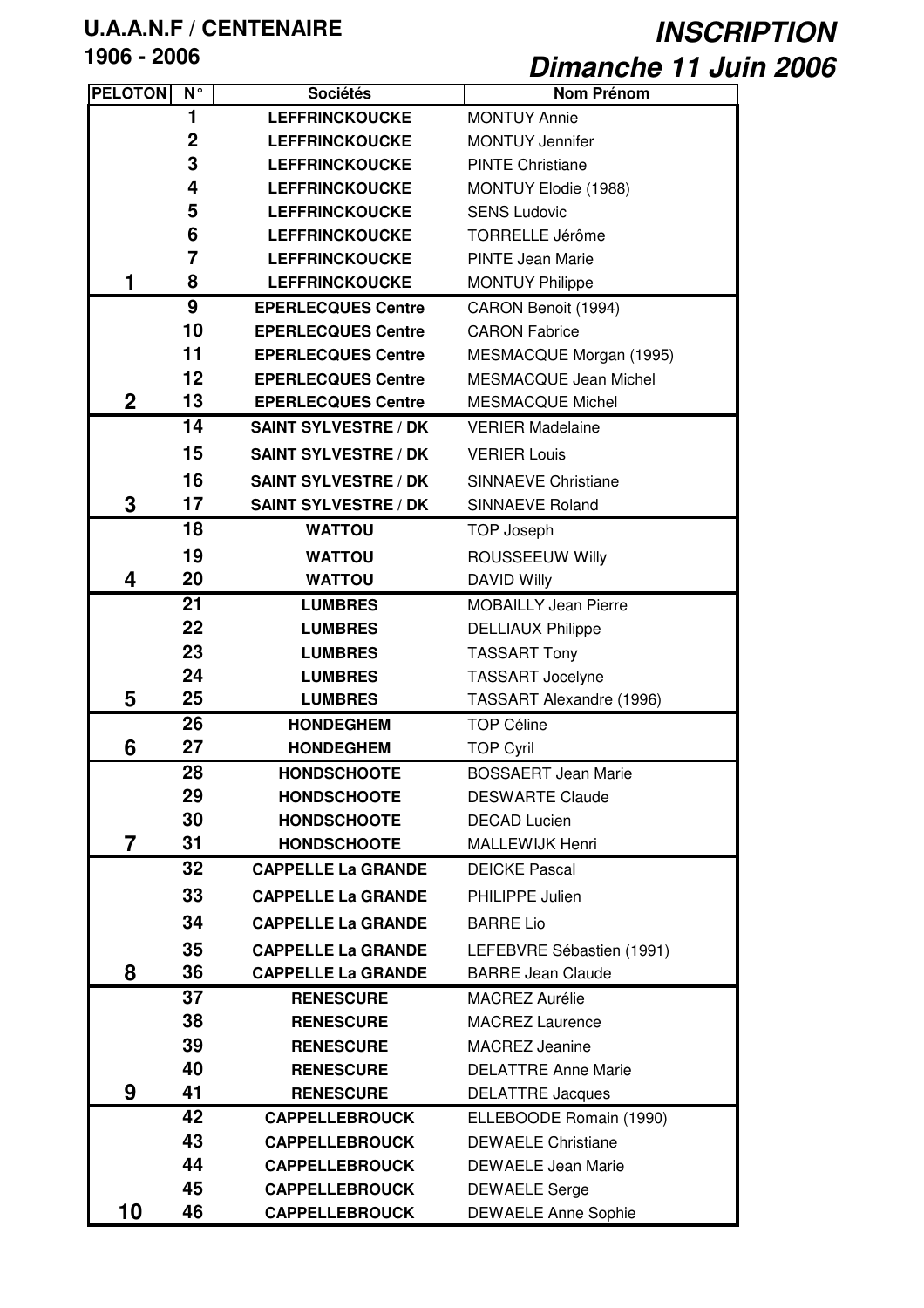| <b>PELOTON</b> | N <sup>c</sup> | <b>Sociétés</b>             | <b>Nom Prénom</b>            |
|----------------|----------------|-----------------------------|------------------------------|
|                | 1              | <b>LEFFRINCKOUCKE</b>       | <b>MONTUY Annie</b>          |
|                | $\overline{2}$ | <b>LEFFRINCKOUCKE</b>       | <b>MONTUY Jennifer</b>       |
|                | 3              | <b>LEFFRINCKOUCKE</b>       | <b>PINTE Christiane</b>      |
|                | 4              | <b>LEFFRINCKOUCKE</b>       | MONTUY Elodie (1988)         |
|                | 5              | <b>LEFFRINCKOUCKE</b>       | <b>SENS Ludovic</b>          |
|                | 6              | <b>LEFFRINCKOUCKE</b>       | <b>TORRELLE Jérôme</b>       |
|                | $\overline{7}$ | <b>LEFFRINCKOUCKE</b>       | <b>PINTE Jean Marie</b>      |
| 1              | 8              | <b>LEFFRINCKOUCKE</b>       | <b>MONTUY Philippe</b>       |
|                | 9              | <b>EPERLECQUES Centre</b>   | CARON Benoit (1994)          |
|                | 10             | <b>EPERLECQUES Centre</b>   | <b>CARON Fabrice</b>         |
|                | 11             | <b>EPERLECQUES Centre</b>   | MESMACQUE Morgan (1995)      |
|                | 12             | <b>EPERLECQUES Centre</b>   | <b>MESMACQUE Jean Michel</b> |
| $\overline{2}$ | 13             | <b>EPERLECQUES Centre</b>   | <b>MESMACQUE Michel</b>      |
|                | 14             | <b>SAINT SYLVESTRE / DK</b> | <b>VERIER Madelaine</b>      |
|                | 15             | <b>SAINT SYLVESTRE / DK</b> | <b>VERIER Louis</b>          |
|                | 16             | <b>SAINT SYLVESTRE / DK</b> | <b>SINNAEVE Christiane</b>   |
| 3              | 17             | <b>SAINT SYLVESTRE / DK</b> | <b>SINNAEVE Roland</b>       |
|                | 18             | <b>WATTOU</b>               | <b>TOP Joseph</b>            |
|                | 19             | <b>WATTOU</b>               | <b>ROUSSEEUW Willy</b>       |
| 4              | 20             | <b>WATTOU</b>               | <b>DAVID Willy</b>           |
|                | 21             | <b>LUMBRES</b>              | <b>MOBAILLY Jean Pierre</b>  |
|                | 22             | <b>LUMBRES</b>              | <b>DELLIAUX Philippe</b>     |
|                | 23             | <b>LUMBRES</b>              | <b>TASSART Tony</b>          |
|                | 24             | <b>LUMBRES</b>              | <b>TASSART Jocelyne</b>      |
| 5              | 25             | <b>LUMBRES</b>              | TASSART Alexandre (1996)     |
|                | 26             | <b>HONDEGHEM</b>            | <b>TOP Céline</b>            |
| 6              | 27             | <b>HONDEGHEM</b>            | <b>TOP Cyril</b>             |
|                | 28             | <b>HONDSCHOOTE</b>          | <b>BOSSAERT Jean Marie</b>   |
|                | 29             | <b>HONDSCHOOTE</b>          | <b>DESWARTE Claude</b>       |
|                | 30             | <b>HONDSCHOOTE</b>          | <b>DECAD Lucien</b>          |
| 7              | 31             | <b>HONDSCHOOTE</b>          | MALLEWIJK Henri              |
|                | 32             | <b>CAPPELLE La GRANDE</b>   | <b>DEICKE Pascal</b>         |
|                | 33             | <b>CAPPELLE La GRANDE</b>   | PHILIPPE Julien              |
|                | 34             | <b>CAPPELLE La GRANDE</b>   | <b>BARRE Lio</b>             |
|                | 35             | <b>CAPPELLE La GRANDE</b>   | LEFEBVRE Sébastien (1991)    |
| 8              | 36             | <b>CAPPELLE La GRANDE</b>   | <b>BARRE Jean Claude</b>     |
|                | 37             | <b>RENESCURE</b>            | <b>MACREZ Aurélie</b>        |
|                | 38             | <b>RENESCURE</b>            | <b>MACREZ Laurence</b>       |
|                | 39             | <b>RENESCURE</b>            | <b>MACREZ Jeanine</b>        |
|                | 40             | <b>RENESCURE</b>            | <b>DELATTRE Anne Marie</b>   |
| 9              | 41             | <b>RENESCURE</b>            | <b>DELATTRE Jacques</b>      |
|                | 42             | <b>CAPPELLEBROUCK</b>       | ELLEBOODE Romain (1990)      |
|                | 43             | <b>CAPPELLEBROUCK</b>       | <b>DEWAELE Christiane</b>    |
|                | 44             | <b>CAPPELLEBROUCK</b>       | <b>DEWAELE Jean Marie</b>    |
|                | 45             | <b>CAPPELLEBROUCK</b>       | <b>DEWAELE Serge</b>         |
| 10             | 46             | <b>CAPPELLEBROUCK</b>       | <b>DEWAELE Anne Sophie</b>   |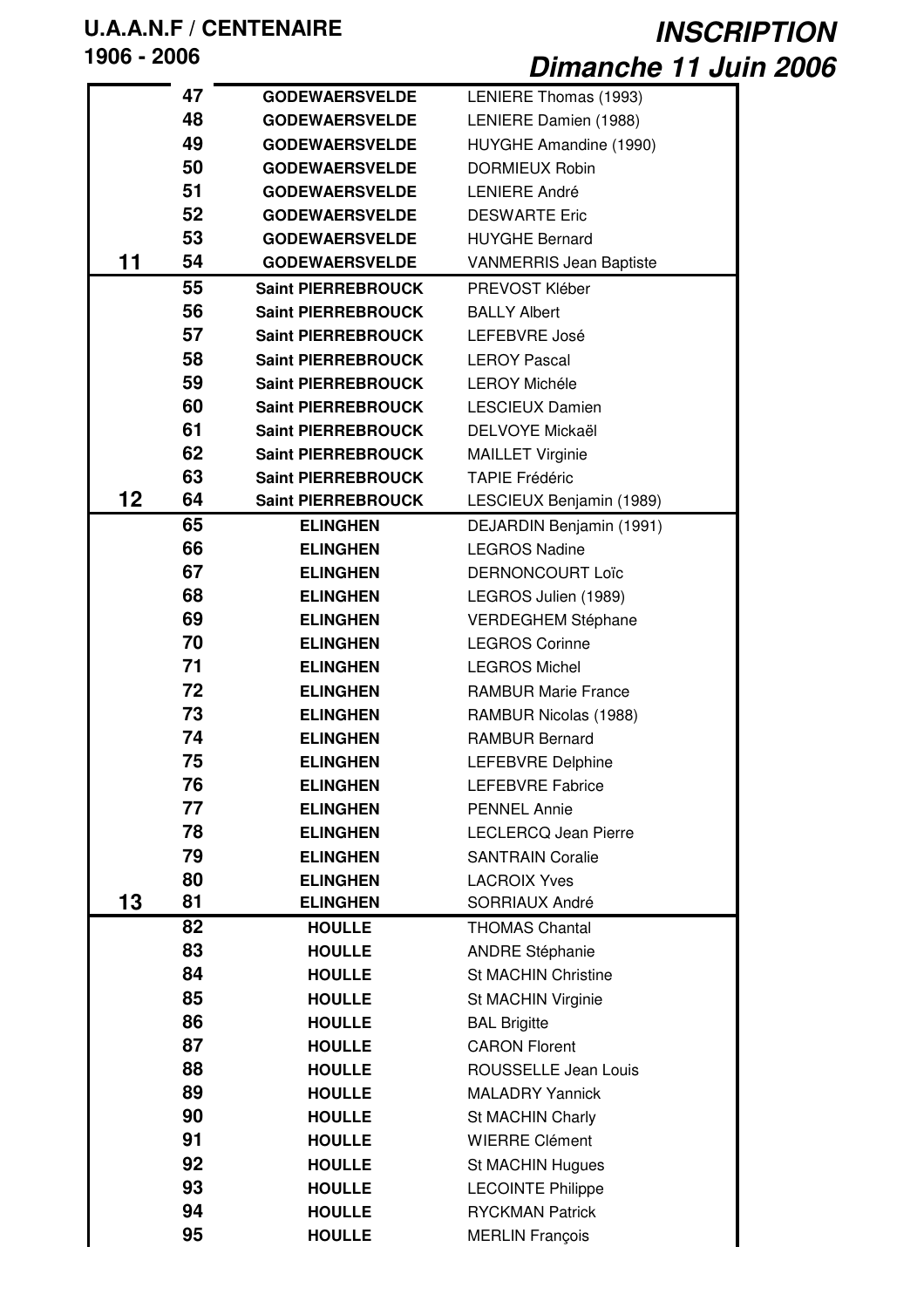# **U.A.A.N.F / CENTENAIRE**

**- 2006**

*INSCRIPTION Dimanche 11 Juin 2006*

|    | 47 | <b>GODEWAERSVELDE</b>     | LENIERE Thomas (1993)          |
|----|----|---------------------------|--------------------------------|
|    | 48 | <b>GODEWAERSVELDE</b>     | LENIERE Damien (1988)          |
|    | 49 | <b>GODEWAERSVELDE</b>     | HUYGHE Amandine (1990)         |
|    | 50 | <b>GODEWAERSVELDE</b>     | <b>DORMIEUX Robin</b>          |
|    | 51 | <b>GODEWAERSVELDE</b>     | <b>LENIERE André</b>           |
|    | 52 | <b>GODEWAERSVELDE</b>     | <b>DESWARTE Eric</b>           |
|    | 53 | <b>GODEWAERSVELDE</b>     | <b>HUYGHE Bernard</b>          |
| 11 | 54 | <b>GODEWAERSVELDE</b>     | <b>VANMERRIS Jean Baptiste</b> |
|    | 55 | <b>Saint PIERREBROUCK</b> | PREVOST Kléber                 |
|    | 56 | <b>Saint PIERREBROUCK</b> | <b>BALLY Albert</b>            |
|    | 57 | <b>Saint PIERREBROUCK</b> | LEFEBVRE José                  |
|    | 58 | <b>Saint PIERREBROUCK</b> | <b>LEROY Pascal</b>            |
|    | 59 | <b>Saint PIERREBROUCK</b> | <b>LEROY Michéle</b>           |
|    | 60 | <b>Saint PIERREBROUCK</b> | <b>LESCIEUX Damien</b>         |
|    | 61 | <b>Saint PIERREBROUCK</b> | DELVOYE Mickaël                |
|    | 62 | <b>Saint PIERREBROUCK</b> | <b>MAILLET Virginie</b>        |
|    | 63 | <b>Saint PIERREBROUCK</b> | <b>TAPIE Frédéric</b>          |
| 12 | 64 | <b>Saint PIERREBROUCK</b> | LESCIEUX Benjamin (1989)       |
|    | 65 | <b>ELINGHEN</b>           | DEJARDIN Benjamin (1991)       |
|    | 66 | <b>ELINGHEN</b>           | <b>LEGROS Nadine</b>           |
|    | 67 | <b>ELINGHEN</b>           | DERNONCOURT Loïc               |
|    | 68 | <b>ELINGHEN</b>           | LEGROS Julien (1989)           |
|    | 69 | <b>ELINGHEN</b>           | VERDEGHEM Stéphane             |
|    | 70 | <b>ELINGHEN</b>           | <b>LEGROS Corinne</b>          |
|    | 71 | <b>ELINGHEN</b>           | <b>LEGROS Michel</b>           |
|    | 72 | <b>ELINGHEN</b>           | <b>RAMBUR Marie France</b>     |
|    | 73 | <b>ELINGHEN</b>           | RAMBUR Nicolas (1988)          |
|    | 74 | <b>ELINGHEN</b>           | <b>RAMBUR Bernard</b>          |
|    | 75 | <b>ELINGHEN</b>           | LEFEBVRE Delphine              |
|    | 76 | <b>ELINGHEN</b>           | LEFEBVRE Fabrice               |
|    | 77 | <b>ELINGHEN</b>           | <b>PENNEL Annie</b>            |
|    | 78 | <b>ELINGHEN</b>           | <b>LECLERCQ Jean Pierre</b>    |
|    | 79 | <b>ELINGHEN</b>           | <b>SANTRAIN Coralie</b>        |
|    | 80 | <b>ELINGHEN</b>           | <b>LACROIX Yves</b>            |
| 13 | 81 | <b>ELINGHEN</b>           | SORRIAUX André                 |
|    | 82 | <b>HOULLE</b>             | <b>THOMAS Chantal</b>          |
|    | 83 | <b>HOULLE</b>             | <b>ANDRE Stéphanie</b>         |
|    | 84 | <b>HOULLE</b>             | <b>St MACHIN Christine</b>     |
|    | 85 | <b>HOULLE</b>             | St MACHIN Virginie             |
|    | 86 | <b>HOULLE</b>             | <b>BAL Brigitte</b>            |
|    | 87 | <b>HOULLE</b>             | <b>CARON Florent</b>           |
|    | 88 | <b>HOULLE</b>             | ROUSSELLE Jean Louis           |
|    | 89 | <b>HOULLE</b>             | <b>MALADRY Yannick</b>         |
|    | 90 | <b>HOULLE</b>             | St MACHIN Charly               |
|    | 91 | <b>HOULLE</b>             | <b>WIERRE Clément</b>          |
|    | 92 | <b>HOULLE</b>             | St MACHIN Hugues               |
|    | 93 | <b>HOULLE</b>             | <b>LECOINTE Philippe</b>       |
|    | 94 | <b>HOULLE</b>             | <b>RYCKMAN Patrick</b>         |
|    | 95 | <b>HOULLE</b>             | <b>MERLIN François</b>         |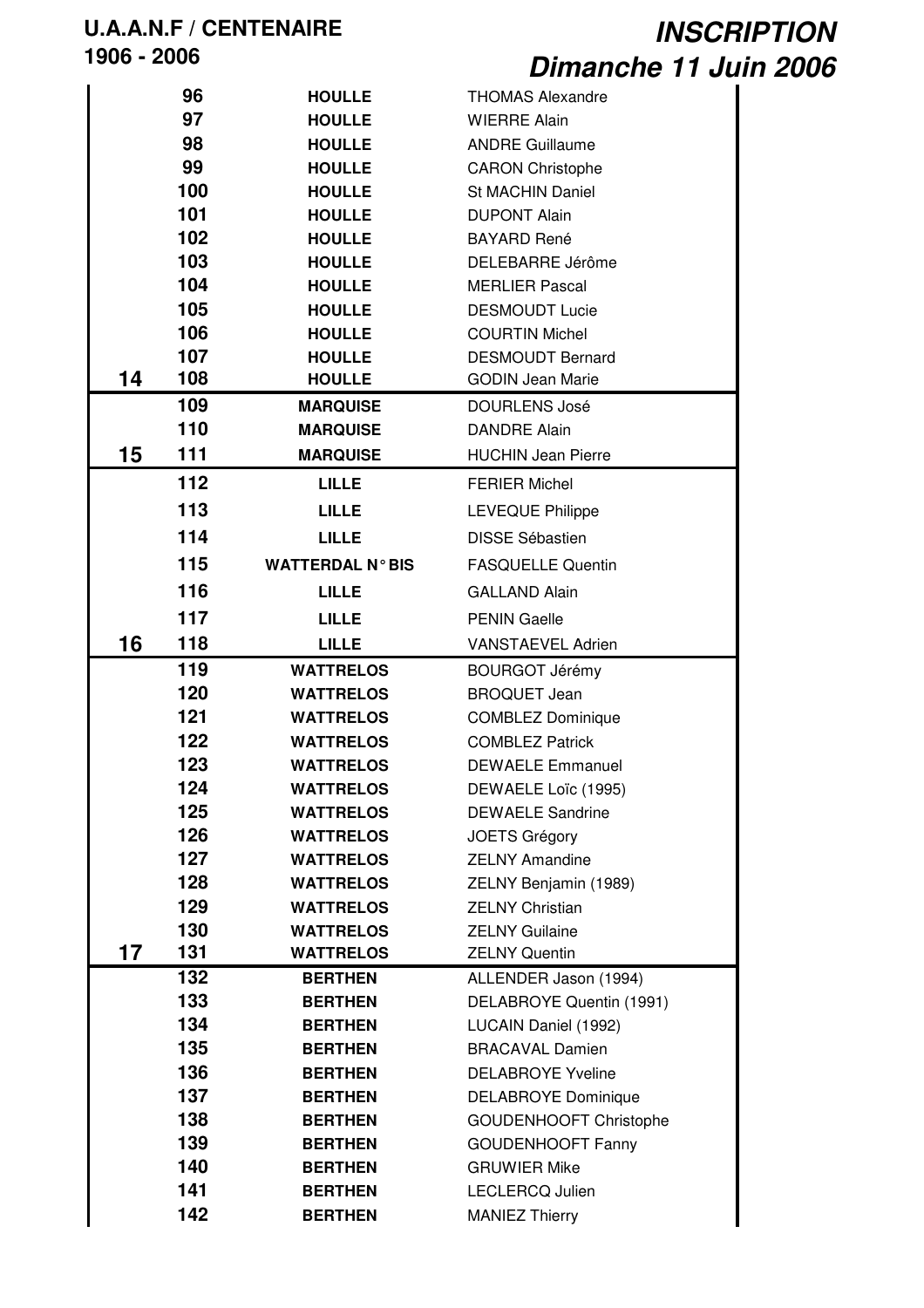|    | 96  | <b>HOULLE</b>           | <b>THOMAS Alexandre</b>       |
|----|-----|-------------------------|-------------------------------|
|    | 97  | <b>HOULLE</b>           | <b>WIERRE Alain</b>           |
|    | 98  | <b>HOULLE</b>           | <b>ANDRE Guillaume</b>        |
|    | 99  | <b>HOULLE</b>           | <b>CARON Christophe</b>       |
|    | 100 | <b>HOULLE</b>           | <b>St MACHIN Daniel</b>       |
|    | 101 | <b>HOULLE</b>           | <b>DUPONT Alain</b>           |
|    | 102 | <b>HOULLE</b>           | <b>BAYARD René</b>            |
|    | 103 | <b>HOULLE</b>           | DELEBARRE Jérôme              |
|    | 104 | <b>HOULLE</b>           | <b>MERLIER Pascal</b>         |
|    | 105 | <b>HOULLE</b>           | <b>DESMOUDT Lucie</b>         |
|    | 106 | <b>HOULLE</b>           | <b>COURTIN Michel</b>         |
|    | 107 | <b>HOULLE</b>           | <b>DESMOUDT Bernard</b>       |
| 14 | 108 | <b>HOULLE</b>           | <b>GODIN Jean Marie</b>       |
|    | 109 | <b>MARQUISE</b>         | <b>DOURLENS José</b>          |
|    | 110 | <b>MARQUISE</b>         | <b>DANDRE Alain</b>           |
| 15 | 111 | <b>MARQUISE</b>         | <b>HUCHIN Jean Pierre</b>     |
|    | 112 | <b>LILLE</b>            | <b>FERIER Michel</b>          |
|    | 113 | <b>LILLE</b>            | <b>LEVEQUE Philippe</b>       |
|    | 114 | <b>LILLE</b>            | <b>DISSE Sébastien</b>        |
|    | 115 | <b>WATTERDAL N° BIS</b> | <b>FASQUELLE Quentin</b>      |
|    | 116 | <b>LILLE</b>            | <b>GALLAND Alain</b>          |
|    | 117 | <b>LILLE</b>            | <b>PENIN Gaelle</b>           |
| 16 | 118 | <b>LILLE</b>            | <b>VANSTAEVEL Adrien</b>      |
|    | 119 | <b>WATTRELOS</b>        | <b>BOURGOT Jérémy</b>         |
|    | 120 | <b>WATTRELOS</b>        | <b>BROQUET Jean</b>           |
|    | 121 | <b>WATTRELOS</b>        | <b>COMBLEZ Dominique</b>      |
|    | 122 | <b>WATTRELOS</b>        | <b>COMBLEZ Patrick</b>        |
|    | 123 | <b>WATTRELOS</b>        | <b>DEWAELE Emmanuel</b>       |
|    | 124 | <b>WATTRELOS</b>        | DEWAELE Loïc (1995)           |
|    | 125 | <b>WATTRELOS</b>        | <b>DEWAELE Sandrine</b>       |
|    | 126 | <b>WATTRELOS</b>        | <b>JOETS Grégory</b>          |
|    | 127 | <b>WATTRELOS</b>        | <b>ZELNY Amandine</b>         |
|    | 128 | <b>WATTRELOS</b>        | ZELNY Benjamin (1989)         |
|    | 129 | <b>WATTRELOS</b>        | <b>ZELNY Christian</b>        |
|    | 130 | <b>WATTRELOS</b>        | <b>ZELNY Guilaine</b>         |
| 17 | 131 | <b>WATTRELOS</b>        | <b>ZELNY Quentin</b>          |
|    | 132 | <b>BERTHEN</b>          | ALLENDER Jason (1994)         |
|    | 133 | <b>BERTHEN</b>          | DELABROYE Quentin (1991)      |
|    | 134 | <b>BERTHEN</b>          | LUCAIN Daniel (1992)          |
|    | 135 | <b>BERTHEN</b>          | <b>BRACAVAL Damien</b>        |
|    | 136 | <b>BERTHEN</b>          | <b>DELABROYE Yveline</b>      |
|    | 137 | <b>BERTHEN</b>          | <b>DELABROYE Dominique</b>    |
|    | 138 | <b>BERTHEN</b>          | <b>GOUDENHOOFT Christophe</b> |
|    | 139 | <b>BERTHEN</b>          | <b>GOUDENHOOFT Fanny</b>      |
|    | 140 | <b>BERTHEN</b>          | <b>GRUWIER Mike</b>           |
|    | 141 | <b>BERTHEN</b>          | LECLERCQ Julien               |
|    | 142 | <b>BERTHEN</b>          | <b>MANIEZ Thierry</b>         |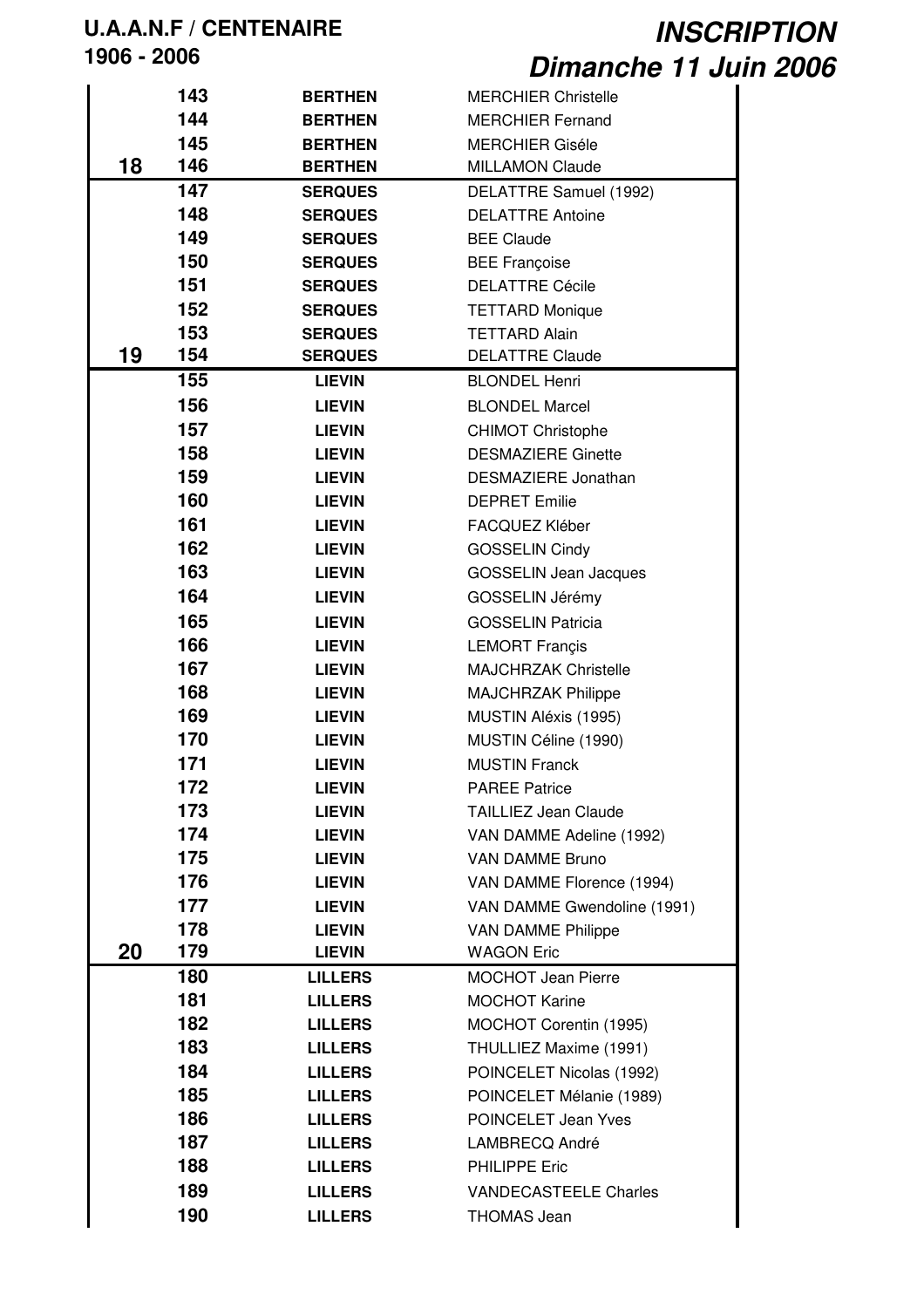|    | 143 | <b>BERTHEN</b> | <b>MERCHIER Christelle</b>   |
|----|-----|----------------|------------------------------|
|    | 144 | <b>BERTHEN</b> | <b>MERCHIER Fernand</b>      |
|    | 145 | <b>BERTHEN</b> | <b>MERCHIER Giséle</b>       |
| 18 | 146 | <b>BERTHEN</b> | <b>MILLAMON Claude</b>       |
|    | 147 | <b>SERQUES</b> | DELATTRE Samuel (1992)       |
|    | 148 | <b>SERQUES</b> | <b>DELATTRE Antoine</b>      |
|    | 149 | <b>SERQUES</b> | <b>BEE Claude</b>            |
|    | 150 | <b>SERQUES</b> | <b>BEE Françoise</b>         |
|    | 151 | <b>SERQUES</b> | <b>DELATTRE Cécile</b>       |
|    |     |                |                              |
|    | 152 | <b>SERQUES</b> | <b>TETTARD Monique</b>       |
|    | 153 | <b>SERQUES</b> | <b>TETTARD Alain</b>         |
| 19 | 154 | <b>SERQUES</b> | <b>DELATTRE Claude</b>       |
|    | 155 | <b>LIEVIN</b>  | <b>BLONDEL Henri</b>         |
|    | 156 | <b>LIEVIN</b>  | <b>BLONDEL Marcel</b>        |
|    | 157 | <b>LIEVIN</b>  | <b>CHIMOT Christophe</b>     |
|    | 158 | <b>LIEVIN</b>  | <b>DESMAZIERE Ginette</b>    |
|    | 159 | <b>LIEVIN</b>  | DESMAZIERE Jonathan          |
|    | 160 | <b>LIEVIN</b>  | <b>DEPRET Emilie</b>         |
|    | 161 | <b>LIEVIN</b>  | FACQUEZ Kléber               |
|    | 162 | <b>LIEVIN</b>  | <b>GOSSELIN Cindy</b>        |
|    | 163 | <b>LIEVIN</b>  | <b>GOSSELIN Jean Jacques</b> |
|    |     |                |                              |
|    | 164 | <b>LIEVIN</b>  | GOSSELIN Jérémy              |
|    | 165 | <b>LIEVIN</b>  | <b>GOSSELIN Patricia</b>     |
|    | 166 | <b>LIEVIN</b>  | <b>LEMORT Françis</b>        |
|    | 167 | <b>LIEVIN</b>  | <b>MAJCHRZAK Christelle</b>  |
|    | 168 | <b>LIEVIN</b>  | <b>MAJCHRZAK Philippe</b>    |
|    | 169 | <b>LIEVIN</b>  | MUSTIN Aléxis (1995)         |
|    | 170 | <b>LIEVIN</b>  | MUSTIN Céline (1990)         |
|    | 171 | <b>LIEVIN</b>  | <b>MUSTIN Franck</b>         |
|    | 172 | <b>LIEVIN</b>  | <b>PAREE Patrice</b>         |
|    | 173 | <b>LIEVIN</b>  | <b>TAILLIEZ Jean Claude</b>  |
|    | 174 | <b>LIEVIN</b>  | VAN DAMME Adeline (1992)     |
|    | 175 | <b>LIEVIN</b>  | <b>VAN DAMME Bruno</b>       |
|    | 176 | <b>LIEVIN</b>  | VAN DAMME Florence (1994)    |
|    | 177 | <b>LIEVIN</b>  | VAN DAMME Gwendoline (1991)  |
|    | 178 | <b>LIEVIN</b>  | <b>VAN DAMME Philippe</b>    |
| 20 | 179 | <b>LIEVIN</b>  | <b>WAGON Eric</b>            |
|    | 180 | <b>LILLERS</b> | <b>MOCHOT Jean Pierre</b>    |
|    |     |                |                              |
|    | 181 | <b>LILLERS</b> | <b>MOCHOT Karine</b>         |
|    | 182 | <b>LILLERS</b> | MOCHOT Corentin (1995)       |
|    | 183 | <b>LILLERS</b> | THULLIEZ Maxime (1991)       |
|    | 184 | <b>LILLERS</b> | POINCELET Nicolas (1992)     |
|    | 185 | <b>LILLERS</b> | POINCELET Mélanie (1989)     |
|    | 186 | <b>LILLERS</b> | POINCELET Jean Yves          |
|    | 187 | <b>LILLERS</b> | LAMBRECQ André               |
|    | 188 | <b>LILLERS</b> | <b>PHILIPPE Eric</b>         |
|    | 189 | <b>LILLERS</b> | <b>VANDECASTEELE Charles</b> |
|    | 190 | <b>LILLERS</b> | <b>THOMAS Jean</b>           |
|    |     |                |                              |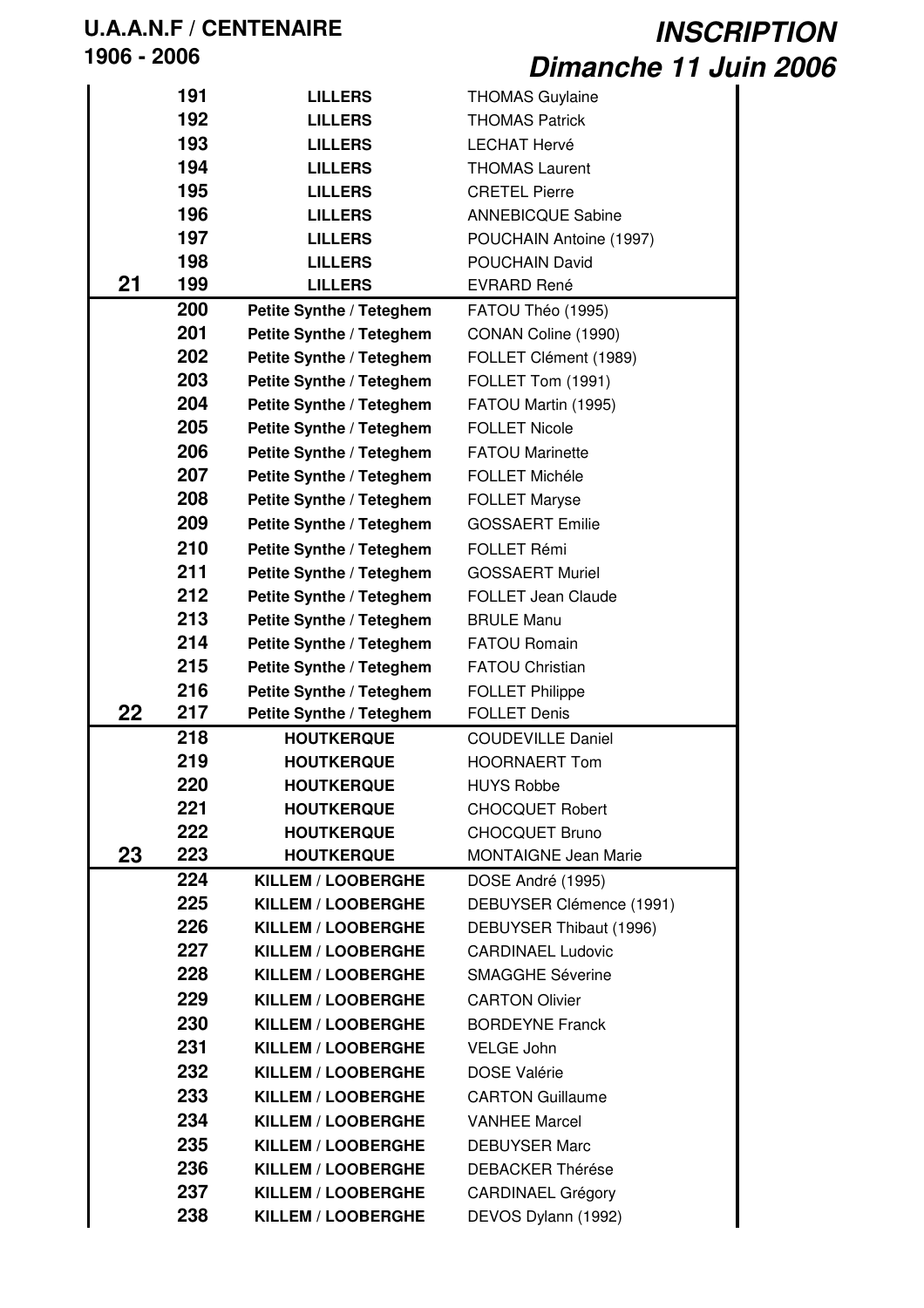|    | 191 | <b>LILLERS</b>            | <b>THOMAS Guylaine</b>      |
|----|-----|---------------------------|-----------------------------|
|    | 192 | <b>LILLERS</b>            | <b>THOMAS Patrick</b>       |
|    | 193 | <b>LILLERS</b>            | <b>LECHAT Hervé</b>         |
|    | 194 | <b>LILLERS</b>            | <b>THOMAS Laurent</b>       |
|    | 195 |                           |                             |
|    |     | <b>LILLERS</b>            | <b>CRETEL Pierre</b>        |
|    | 196 | <b>LILLERS</b>            | <b>ANNEBICQUE Sabine</b>    |
|    | 197 | <b>LILLERS</b>            | POUCHAIN Antoine (1997)     |
|    | 198 | <b>LILLERS</b>            | <b>POUCHAIN David</b>       |
| 21 | 199 | <b>LILLERS</b>            | <b>EVRARD René</b>          |
|    | 200 | Petite Synthe / Teteghem  | FATOU Théo (1995)           |
|    | 201 | Petite Synthe / Teteghem  | CONAN Coline (1990)         |
|    | 202 | Petite Synthe / Teteghem  | FOLLET Clément (1989)       |
|    | 203 | Petite Synthe / Teteghem  | FOLLET Tom (1991)           |
|    | 204 | Petite Synthe / Teteghem  | FATOU Martin (1995)         |
|    | 205 | Petite Synthe / Teteghem  | <b>FOLLET Nicole</b>        |
|    | 206 | Petite Synthe / Teteghem  | <b>FATOU Marinette</b>      |
|    | 207 | Petite Synthe / Teteghem  | <b>FOLLET Michéle</b>       |
|    | 208 | Petite Synthe / Teteghem  | <b>FOLLET Maryse</b>        |
|    | 209 | Petite Synthe / Teteghem  | <b>GOSSAERT Emilie</b>      |
|    | 210 | Petite Synthe / Teteghem  | FOLLET Rémi                 |
|    | 211 | Petite Synthe / Teteghem  | <b>GOSSAERT Muriel</b>      |
|    | 212 | Petite Synthe / Teteghem  | <b>FOLLET Jean Claude</b>   |
|    | 213 | Petite Synthe / Teteghem  | <b>BRULE Manu</b>           |
|    | 214 | Petite Synthe / Teteghem  | <b>FATOU Romain</b>         |
|    | 215 | Petite Synthe / Teteghem  | <b>FATOU Christian</b>      |
|    | 216 | Petite Synthe / Teteghem  | <b>FOLLET Philippe</b>      |
| 22 | 217 | Petite Synthe / Teteghem  | <b>FOLLET Denis</b>         |
|    | 218 | <b>HOUTKERQUE</b>         | <b>COUDEVILLE Daniel</b>    |
|    | 219 | <b>HOUTKERQUE</b>         | <b>HOORNAERT Tom</b>        |
|    | 220 | <b>HOUTKERQUE</b>         | <b>HUYS Robbe</b>           |
|    |     |                           |                             |
|    | 221 | <b>HOUTKERQUE</b>         | <b>CHOCQUET Robert</b>      |
|    | 222 | <b>HOUTKERQUE</b>         | <b>CHOCQUET Bruno</b>       |
| 23 | 223 | <b>HOUTKERQUE</b>         | <b>MONTAIGNE Jean Marie</b> |
|    | 224 | <b>KILLEM / LOOBERGHE</b> | DOSE André (1995)           |
|    | 225 | KILLEM / LOOBERGHE        | DEBUYSER Clémence (1991)    |
|    | 226 | <b>KILLEM / LOOBERGHE</b> | DEBUYSER Thibaut (1996)     |
|    | 227 | KILLEM / LOOBERGHE        | <b>CARDINAEL Ludovic</b>    |
|    | 228 | <b>KILLEM / LOOBERGHE</b> | <b>SMAGGHE Séverine</b>     |
|    | 229 | KILLEM / LOOBERGHE        | <b>CARTON Olivier</b>       |
|    | 230 | KILLEM / LOOBERGHE        | <b>BORDEYNE Franck</b>      |
|    | 231 | KILLEM / LOOBERGHE        | VELGE John                  |
|    | 232 | KILLEM / LOOBERGHE        | <b>DOSE Valérie</b>         |
|    | 233 | <b>KILLEM / LOOBERGHE</b> | <b>CARTON Guillaume</b>     |
|    | 234 | KILLEM / LOOBERGHE        | <b>VANHEE Marcel</b>        |
|    | 235 | KILLEM / LOOBERGHE        | <b>DEBUYSER Marc</b>        |
|    | 236 | <b>KILLEM / LOOBERGHE</b> | <b>DEBACKER Thérése</b>     |
|    | 237 | KILLEM / LOOBERGHE        | <b>CARDINAEL Grégory</b>    |
|    | 238 | KILLEM / LOOBERGHE        | DEVOS Dylann (1992)         |
|    |     |                           |                             |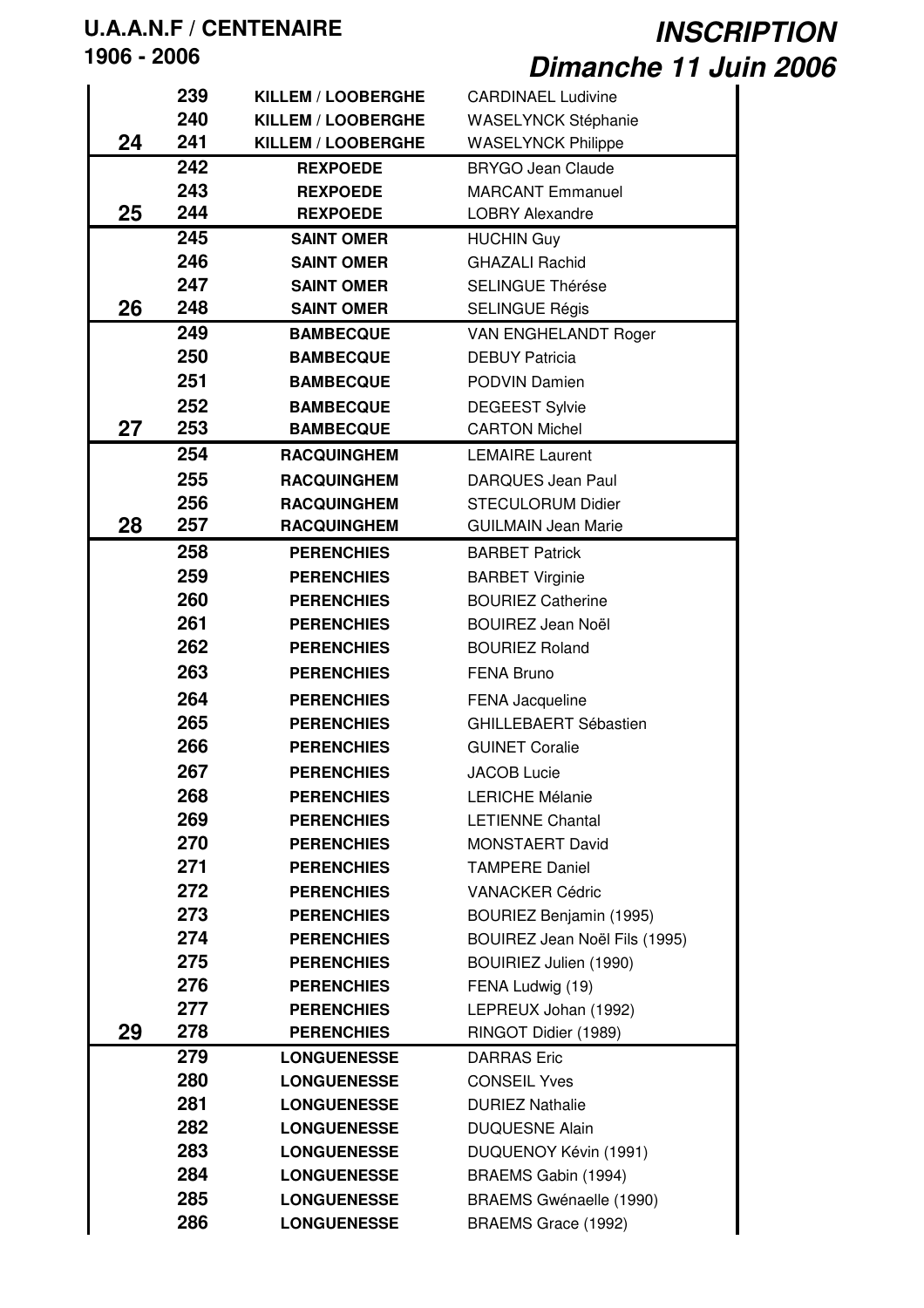# **U.A.A.N.F / CENTENAIRE**

**- 2006**

|    | 239 | <b>KILLEM / LOOBERGHE</b> | <b>CARDINAEL Ludivine</b>     |
|----|-----|---------------------------|-------------------------------|
|    | 240 | KILLEM / LOOBERGHE        | WASELYNCK Stéphanie           |
| 24 | 241 | KILLEM / LOOBERGHE        | <b>WASELYNCK Philippe</b>     |
|    | 242 | <b>REXPOEDE</b>           | <b>BRYGO Jean Claude</b>      |
|    | 243 | <b>REXPOEDE</b>           | <b>MARCANT Emmanuel</b>       |
| 25 | 244 | <b>REXPOEDE</b>           | <b>LOBRY Alexandre</b>        |
|    | 245 | <b>SAINT OMER</b>         | <b>HUCHIN Guy</b>             |
|    | 246 | <b>SAINT OMER</b>         | <b>GHAZALI Rachid</b>         |
|    | 247 | <b>SAINT OMER</b>         | <b>SELINGUE Thérése</b>       |
| 26 | 248 | <b>SAINT OMER</b>         | <b>SELINGUE Régis</b>         |
|    | 249 | <b>BAMBECQUE</b>          | VAN ENGHELANDT Roger          |
|    | 250 | <b>BAMBECQUE</b>          | <b>DEBUY Patricia</b>         |
|    | 251 | <b>BAMBECQUE</b>          | PODVIN Damien                 |
|    | 252 | <b>BAMBECQUE</b>          | <b>DEGEEST Sylvie</b>         |
| 27 | 253 | <b>BAMBECQUE</b>          | <b>CARTON Michel</b>          |
|    | 254 | <b>RACQUINGHEM</b>        | <b>LEMAIRE Laurent</b>        |
|    | 255 | <b>RACQUINGHEM</b>        | <b>DARQUES Jean Paul</b>      |
|    | 256 | <b>RACQUINGHEM</b>        | <b>STECULORUM Didier</b>      |
| 28 | 257 | <b>RACQUINGHEM</b>        | <b>GUILMAIN Jean Marie</b>    |
|    | 258 | <b>PERENCHIES</b>         | <b>BARBET Patrick</b>         |
|    | 259 | <b>PERENCHIES</b>         | <b>BARBET Virginie</b>        |
|    | 260 | <b>PERENCHIES</b>         | <b>BOURIEZ Catherine</b>      |
|    | 261 | <b>PERENCHIES</b>         | <b>BOUIREZ Jean Noël</b>      |
|    | 262 | <b>PERENCHIES</b>         | <b>BOURIEZ Roland</b>         |
|    | 263 | <b>PERENCHIES</b>         | <b>FENA Bruno</b>             |
|    | 264 | <b>PERENCHIES</b>         | FENA Jacqueline               |
|    | 265 | <b>PERENCHIES</b>         | <b>GHILLEBAERT Sébastien</b>  |
|    | 266 | <b>PERENCHIES</b>         | <b>GUINET Coralie</b>         |
|    | 267 | <b>PERENCHIES</b>         | <b>JACOB Lucie</b>            |
|    | 268 | <b>PERENCHIES</b>         | <b>LERICHE Mélanie</b>        |
|    | 269 | <b>PERENCHIES</b>         | <b>LETIENNE Chantal</b>       |
|    | 270 | <b>PERENCHIES</b>         | <b>MONSTAERT David</b>        |
|    | 271 | <b>PERENCHIES</b>         | <b>TAMPERE Daniel</b>         |
|    | 272 | <b>PERENCHIES</b>         | <b>VANACKER Cédric</b>        |
|    | 273 | <b>PERENCHIES</b>         | BOURIEZ Benjamin (1995)       |
|    | 274 | <b>PERENCHIES</b>         | BOUIREZ Jean Noël Fils (1995) |
|    | 275 | <b>PERENCHIES</b>         | BOUIRIEZ Julien (1990)        |
|    | 276 | <b>PERENCHIES</b>         | FENA Ludwig (19)              |
|    | 277 | <b>PERENCHIES</b>         | LEPREUX Johan (1992)          |
| 29 | 278 | <b>PERENCHIES</b>         | RINGOT Didier (1989)          |
|    | 279 | <b>LONGUENESSE</b>        | <b>DARRAS</b> Eric            |
|    | 280 | <b>LONGUENESSE</b>        | <b>CONSEIL Yves</b>           |
|    | 281 | <b>LONGUENESSE</b>        | <b>DURIEZ Nathalie</b>        |
|    | 282 | <b>LONGUENESSE</b>        | <b>DUQUESNE Alain</b>         |
|    | 283 | <b>LONGUENESSE</b>        | DUQUENOY Kévin (1991)         |
|    | 284 | <b>LONGUENESSE</b>        | BRAEMS Gabin (1994)           |
|    | 285 | <b>LONGUENESSE</b>        | BRAEMS Gwénaelle (1990)       |
|    | 286 | <b>LONGUENESSE</b>        | BRAEMS Grace (1992)           |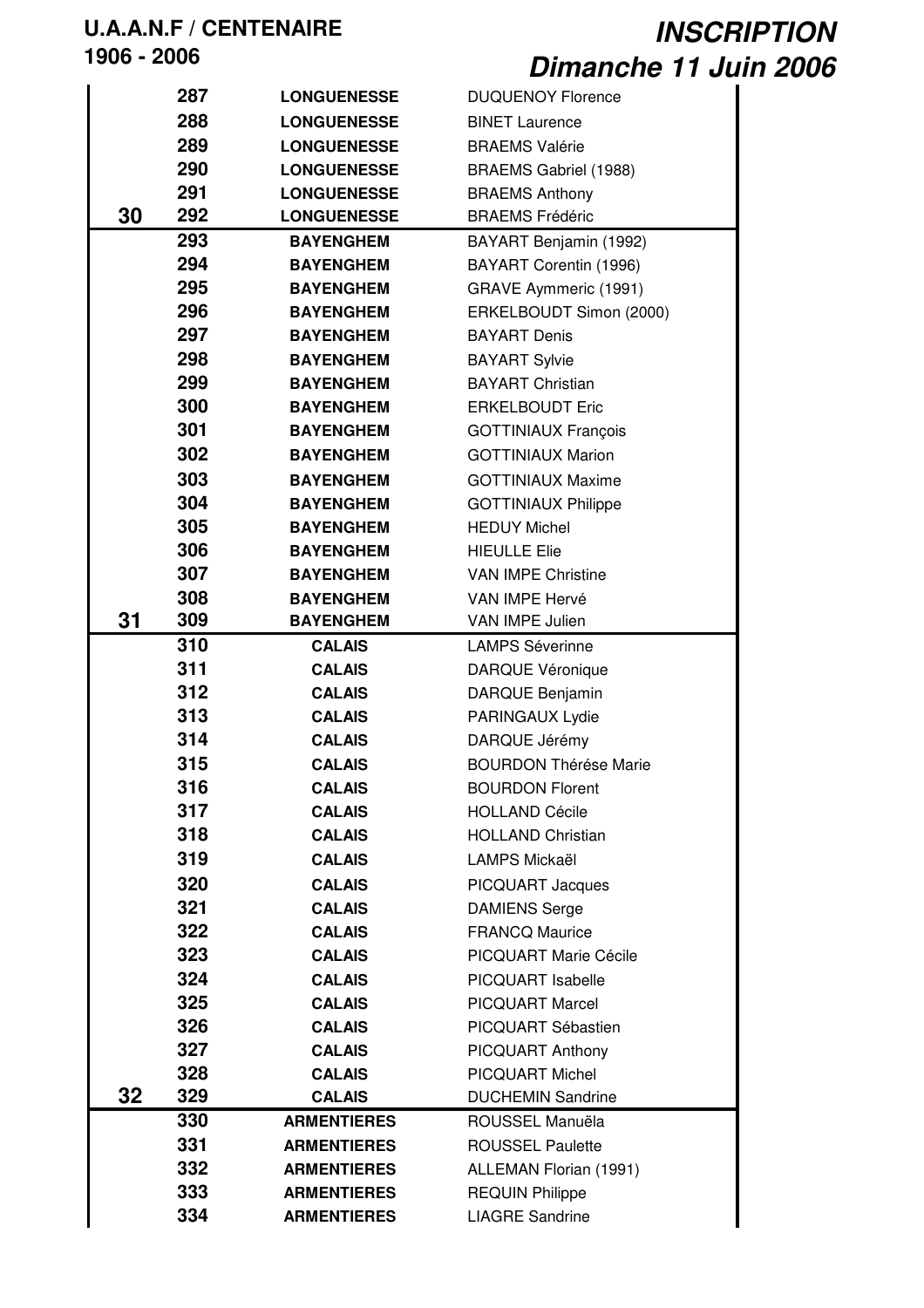|    | 287 | <b>LONGUENESSE</b> | <b>DUQUENOY Florence</b>     |
|----|-----|--------------------|------------------------------|
|    | 288 | <b>LONGUENESSE</b> | <b>BINET Laurence</b>        |
|    | 289 | <b>LONGUENESSE</b> | <b>BRAEMS Valérie</b>        |
|    | 290 | <b>LONGUENESSE</b> | BRAEMS Gabriel (1988)        |
|    | 291 | <b>LONGUENESSE</b> | <b>BRAEMS Anthony</b>        |
| 30 | 292 | <b>LONGUENESSE</b> | <b>BRAEMS Frédéric</b>       |
|    | 293 | <b>BAYENGHEM</b>   | BAYART Benjamin (1992)       |
|    | 294 | <b>BAYENGHEM</b>   | BAYART Corentin (1996)       |
|    | 295 | <b>BAYENGHEM</b>   | GRAVE Aymmeric (1991)        |
|    | 296 | <b>BAYENGHEM</b>   | ERKELBOUDT Simon (2000)      |
|    | 297 | <b>BAYENGHEM</b>   | <b>BAYART Denis</b>          |
|    | 298 | <b>BAYENGHEM</b>   | <b>BAYART Sylvie</b>         |
|    | 299 | <b>BAYENGHEM</b>   | <b>BAYART Christian</b>      |
|    | 300 | <b>BAYENGHEM</b>   | <b>ERKELBOUDT Eric</b>       |
|    | 301 | <b>BAYENGHEM</b>   | <b>GOTTINIAUX François</b>   |
|    | 302 | <b>BAYENGHEM</b>   | <b>GOTTINIAUX Marion</b>     |
|    | 303 | <b>BAYENGHEM</b>   | <b>GOTTINIAUX Maxime</b>     |
|    | 304 | <b>BAYENGHEM</b>   | <b>GOTTINIAUX Philippe</b>   |
|    | 305 | <b>BAYENGHEM</b>   | <b>HEDUY Michel</b>          |
|    | 306 | <b>BAYENGHEM</b>   | <b>HIEULLE Elie</b>          |
|    | 307 | <b>BAYENGHEM</b>   | <b>VAN IMPE Christine</b>    |
|    | 308 | <b>BAYENGHEM</b>   | VAN IMPE Hervé               |
| 31 | 309 | <b>BAYENGHEM</b>   | VAN IMPE Julien              |
|    | 310 | <b>CALAIS</b>      | <b>LAMPS Séverinne</b>       |
|    | 311 | <b>CALAIS</b>      | <b>DARQUE Véronique</b>      |
|    | 312 | <b>CALAIS</b>      | DARQUE Benjamin              |
|    | 313 | <b>CALAIS</b>      | PARINGAUX Lydie              |
|    | 314 | <b>CALAIS</b>      | DARQUE Jérémy                |
|    | 315 | <b>CALAIS</b>      | <b>BOURDON Thérése Marie</b> |
|    | 316 | <b>CALAIS</b>      | <b>BOURDON Florent</b>       |
|    | 317 | <b>CALAIS</b>      | <b>HOLLAND Cécile</b>        |
|    | 318 | <b>CALAIS</b>      | <b>HOLLAND Christian</b>     |
|    | 319 | <b>CALAIS</b>      | LAMPS Mickaël                |
|    | 320 | <b>CALAIS</b>      | <b>PICQUART Jacques</b>      |
|    | 321 | <b>CALAIS</b>      | <b>DAMIENS Serge</b>         |
|    | 322 | <b>CALAIS</b>      | <b>FRANCQ Maurice</b>        |
|    | 323 | <b>CALAIS</b>      | PICQUART Marie Cécile        |
|    | 324 | <b>CALAIS</b>      | PICQUART Isabelle            |
|    | 325 | <b>CALAIS</b>      | <b>PICQUART Marcel</b>       |
|    | 326 | <b>CALAIS</b>      | PICQUART Sébastien           |
|    | 327 | <b>CALAIS</b>      | PICQUART Anthony             |
|    | 328 | <b>CALAIS</b>      | <b>PICQUART Michel</b>       |
| 32 | 329 | <b>CALAIS</b>      | <b>DUCHEMIN Sandrine</b>     |
|    | 330 | <b>ARMENTIERES</b> | ROUSSEL Manuëla              |
|    | 331 | <b>ARMENTIERES</b> | <b>ROUSSEL Paulette</b>      |
|    | 332 | <b>ARMENTIERES</b> | ALLEMAN Florian (1991)       |
|    | 333 | <b>ARMENTIERES</b> | <b>REQUIN Philippe</b>       |
|    | 334 | <b>ARMENTIERES</b> | <b>LIAGRE Sandrine</b>       |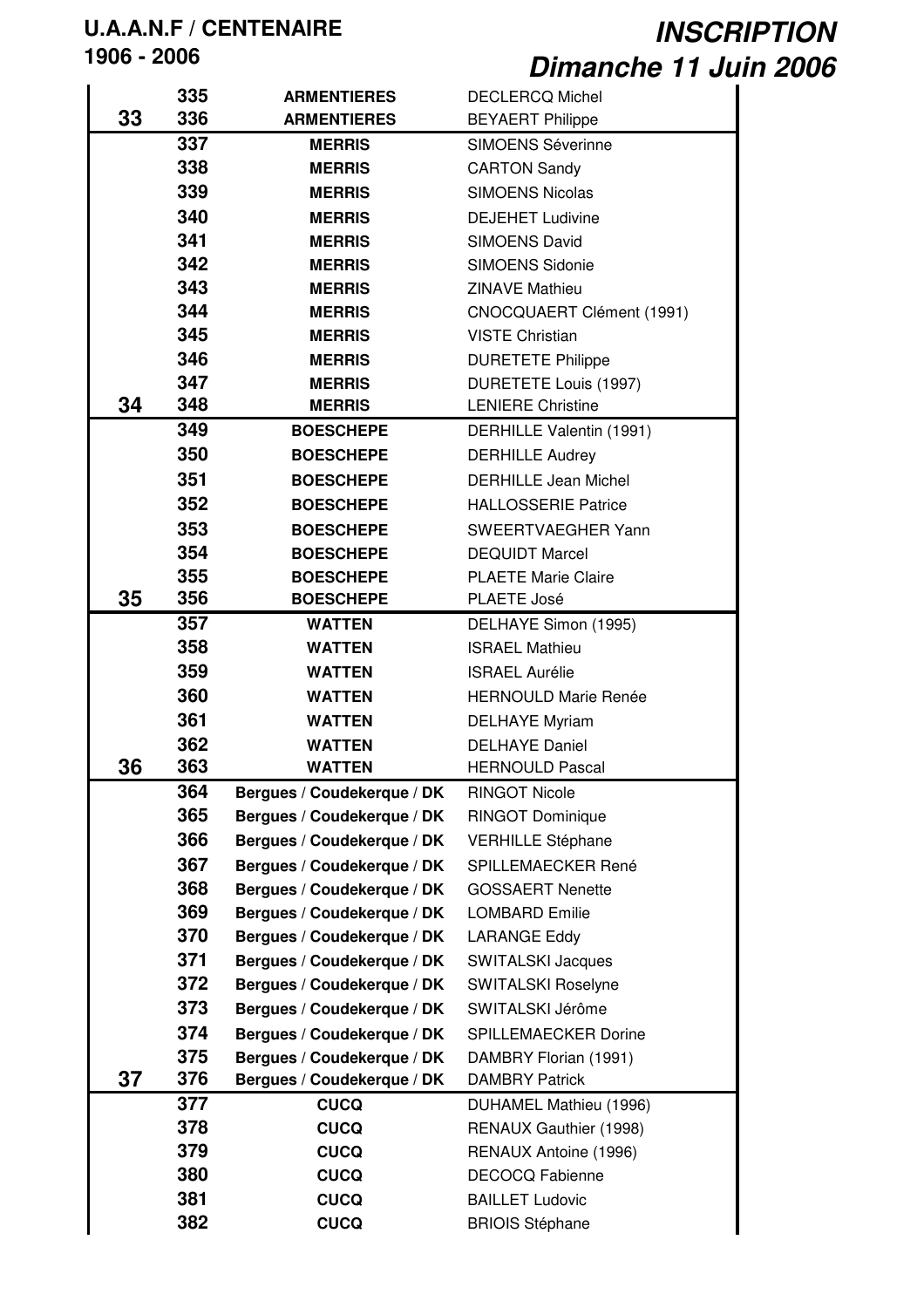|    | 335 | <b>ARMENTIERES</b>         | <b>DECLERCQ Michel</b>      |
|----|-----|----------------------------|-----------------------------|
| 33 | 336 | <b>ARMENTIERES</b>         | <b>BEYAERT Philippe</b>     |
|    | 337 | <b>MERRIS</b>              | <b>SIMOENS Séverinne</b>    |
|    | 338 | <b>MERRIS</b>              | <b>CARTON Sandy</b>         |
|    | 339 | <b>MERRIS</b>              | <b>SIMOENS Nicolas</b>      |
|    | 340 | <b>MERRIS</b>              | <b>DEJEHET Ludivine</b>     |
|    | 341 | <b>MERRIS</b>              | <b>SIMOENS David</b>        |
|    | 342 | <b>MERRIS</b>              | <b>SIMOENS Sidonie</b>      |
|    | 343 | <b>MERRIS</b>              | <b>ZINAVE Mathieu</b>       |
|    | 344 | <b>MERRIS</b>              | CNOCQUAERT Clément (1991)   |
|    | 345 | <b>MERRIS</b>              | <b>VISTE Christian</b>      |
|    | 346 | <b>MERRIS</b>              | <b>DURETETE Philippe</b>    |
|    | 347 | <b>MERRIS</b>              | DURETETE Louis (1997)       |
| 34 | 348 | <b>MERRIS</b>              | <b>LENIERE Christine</b>    |
|    | 349 | <b>BOESCHEPE</b>           | DERHILLE Valentin (1991)    |
|    | 350 | <b>BOESCHEPE</b>           | <b>DERHILLE Audrey</b>      |
|    | 351 | <b>BOESCHEPE</b>           | <b>DERHILLE Jean Michel</b> |
|    | 352 | <b>BOESCHEPE</b>           | <b>HALLOSSERIE Patrice</b>  |
|    | 353 | <b>BOESCHEPE</b>           | SWEERTVAEGHER Yann          |
|    | 354 | <b>BOESCHEPE</b>           | <b>DEQUIDT Marcel</b>       |
|    | 355 | <b>BOESCHEPE</b>           | <b>PLAETE Marie Claire</b>  |
| 35 | 356 | <b>BOESCHEPE</b>           | PLAETE José                 |
|    | 357 | <b>WATTEN</b>              | DELHAYE Simon (1995)        |
|    | 358 | <b>WATTEN</b>              | <b>ISRAEL Mathieu</b>       |
|    | 359 | <b>WATTEN</b>              | <b>ISRAEL Aurélie</b>       |
|    | 360 | <b>WATTEN</b>              | <b>HERNOULD Marie Renée</b> |
|    | 361 | <b>WATTEN</b>              | <b>DELHAYE Myriam</b>       |
|    | 362 | <b>WATTEN</b>              | <b>DELHAYE Daniel</b>       |
| 36 | 363 | <b>WATTEN</b>              | <b>HERNOULD Pascal</b>      |
|    | 364 | Bergues / Coudekerque / DK | <b>RINGOT Nicole</b>        |
|    | 365 | Bergues / Coudekerque / DK | <b>RINGOT Dominique</b>     |
|    | 366 | Bergues / Coudekerque / DK | <b>VERHILLE Stéphane</b>    |
|    | 367 | Bergues / Coudekerque / DK | SPILLEMAECKER René          |
|    | 368 | Bergues / Coudekerque / DK | <b>GOSSAERT Nenette</b>     |
|    | 369 | Bergues / Coudekerque / DK | <b>LOMBARD Emilie</b>       |
|    | 370 | Bergues / Coudekerque / DK | LARANGE Eddy                |
|    | 371 | Bergues / Coudekerque / DK | <b>SWITALSKI Jacques</b>    |
|    | 372 | Bergues / Coudekerque / DK | <b>SWITALSKI Roselyne</b>   |
|    | 373 | Bergues / Coudekerque / DK | SWITALSKI Jérôme            |
|    | 374 | Bergues / Coudekerque / DK | <b>SPILLEMAECKER Dorine</b> |
|    | 375 | Bergues / Coudekerque / DK | DAMBRY Florian (1991)       |
| 37 | 376 | Bergues / Coudekerque / DK | <b>DAMBRY Patrick</b>       |
|    | 377 | <b>CUCQ</b>                | DUHAMEL Mathieu (1996)      |
|    | 378 | <b>CUCQ</b>                | RENAUX Gauthier (1998)      |
|    | 379 | <b>CUCQ</b>                | RENAUX Antoine (1996)       |
|    | 380 | <b>CUCQ</b>                | <b>DECOCQ Fabienne</b>      |
|    | 381 | <b>CUCQ</b>                | <b>BAILLET Ludovic</b>      |
|    | 382 | <b>CUCQ</b>                | <b>BRIOIS Stéphane</b>      |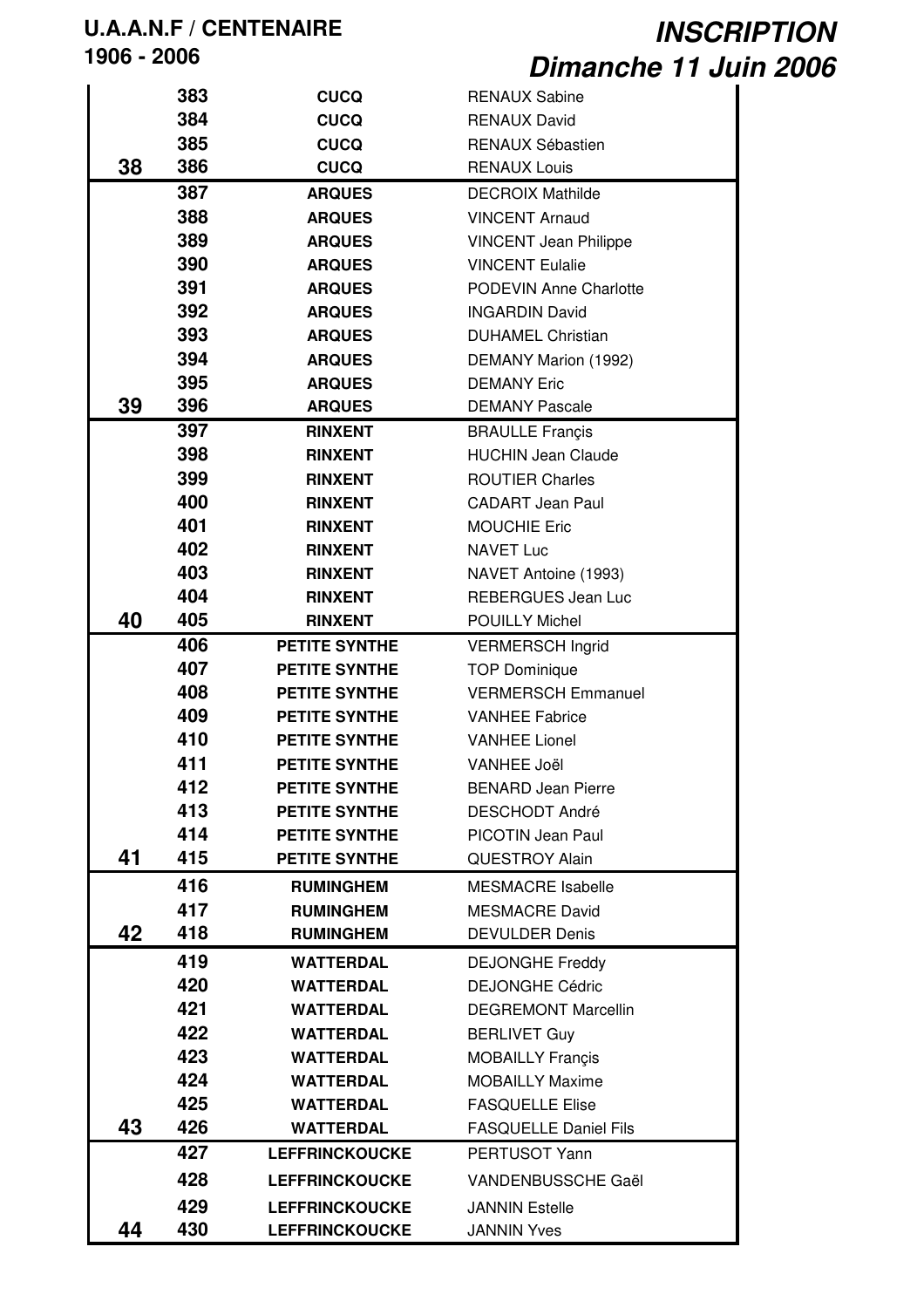|    | 383 | <b>CUCQ</b>           | <b>RENAUX Sabine</b>                              |
|----|-----|-----------------------|---------------------------------------------------|
|    | 384 | <b>CUCQ</b>           | <b>RENAUX David</b>                               |
|    | 385 | <b>CUCQ</b>           | RENAUX Sébastien                                  |
| 38 | 386 | <b>CUCQ</b>           | <b>RENAUX Louis</b>                               |
|    | 387 | <b>ARQUES</b>         | <b>DECROIX Mathilde</b>                           |
|    | 388 | <b>ARQUES</b>         | <b>VINCENT Arnaud</b>                             |
|    | 389 | <b>ARQUES</b>         | <b>VINCENT Jean Philippe</b>                      |
|    | 390 | <b>ARQUES</b>         | <b>VINCENT Eulalie</b>                            |
|    | 391 | <b>ARQUES</b>         | <b>PODEVIN Anne Charlotte</b>                     |
|    | 392 | <b>ARQUES</b>         | <b>INGARDIN David</b>                             |
|    | 393 | <b>ARQUES</b>         | <b>DUHAMEL Christian</b>                          |
|    | 394 | <b>ARQUES</b>         | DEMANY Marion (1992)                              |
|    | 395 | <b>ARQUES</b>         | <b>DEMANY Eric</b>                                |
| 39 | 396 | <b>ARQUES</b>         | <b>DEMANY Pascale</b>                             |
|    | 397 | <b>RINXENT</b>        | <b>BRAULLE Françis</b>                            |
|    | 398 | <b>RINXENT</b>        | <b>HUCHIN Jean Claude</b>                         |
|    | 399 | <b>RINXENT</b>        | <b>ROUTIER Charles</b>                            |
|    | 400 | <b>RINXENT</b>        | <b>CADART Jean Paul</b>                           |
|    | 401 | <b>RINXENT</b>        | <b>MOUCHIE Eric</b>                               |
|    | 402 | <b>RINXENT</b>        | <b>NAVET Luc</b>                                  |
|    | 403 | <b>RINXENT</b>        | NAVET Antoine (1993)                              |
|    | 404 | <b>RINXENT</b>        | <b>REBERGUES Jean Luc</b>                         |
| 40 | 405 | <b>RINXENT</b>        | <b>POUILLY Michel</b>                             |
|    | 406 | <b>PETITE SYNTHE</b>  | <b>VERMERSCH Ingrid</b>                           |
|    | 407 | <b>PETITE SYNTHE</b>  | <b>TOP Dominique</b>                              |
|    | 408 | <b>PETITE SYNTHE</b>  | <b>VERMERSCH Emmanuel</b>                         |
|    | 409 | <b>PETITE SYNTHE</b>  | <b>VANHEE Fabrice</b>                             |
|    | 410 | <b>PETITE SYNTHE</b>  | <b>VANHEE Lionel</b>                              |
|    | 411 | <b>PETITE SYNTHE</b>  | <b>VANHEE Joël</b>                                |
|    | 412 | <b>PETITE SYNTHE</b>  | <b>BENARD Jean Pierre</b>                         |
|    | 413 | <b>PETITE SYNTHE</b>  | <b>DESCHODT André</b>                             |
|    | 414 | <b>PETITE SYNTHE</b>  | <b>PICOTIN Jean Paul</b>                          |
| 41 | 415 | <b>PETITE SYNTHE</b>  | <b>QUESTROY Alain</b>                             |
|    | 416 | <b>RUMINGHEM</b>      | <b>MESMACRE Isabelle</b>                          |
|    | 417 | <b>RUMINGHEM</b>      | <b>MESMACRE David</b>                             |
| 42 | 418 | <b>RUMINGHEM</b>      | <b>DEVULDER Denis</b>                             |
|    | 419 | <b>WATTERDAL</b>      | <b>DEJONGHE Freddy</b>                            |
|    | 420 | <b>WATTERDAL</b>      | <b>DEJONGHE Cédric</b>                            |
|    | 421 | <b>WATTERDAL</b>      | <b>DEGREMONT Marcellin</b>                        |
|    | 422 | <b>WATTERDAL</b>      | <b>BERLIVET Guy</b>                               |
|    | 423 | <b>WATTERDAL</b>      |                                                   |
|    | 424 | <b>WATTERDAL</b>      | <b>MOBAILLY Francis</b><br><b>MOBAILLY Maxime</b> |
|    | 425 | <b>WATTERDAL</b>      | <b>FASQUELLE Elise</b>                            |
| 43 | 426 | <b>WATTERDAL</b>      | <b>FASQUELLE Daniel Fils</b>                      |
|    | 427 | <b>LEFFRINCKOUCKE</b> | PERTUSOT Yann                                     |
|    |     |                       |                                                   |
|    | 428 | <b>LEFFRINCKOUCKE</b> | VANDENBUSSCHE Gaël                                |
|    | 429 | <b>LEFFRINCKOUCKE</b> | <b>JANNIN Estelle</b>                             |
| 44 | 430 | <b>LEFFRINCKOUCKE</b> | <b>JANNIN Yves</b>                                |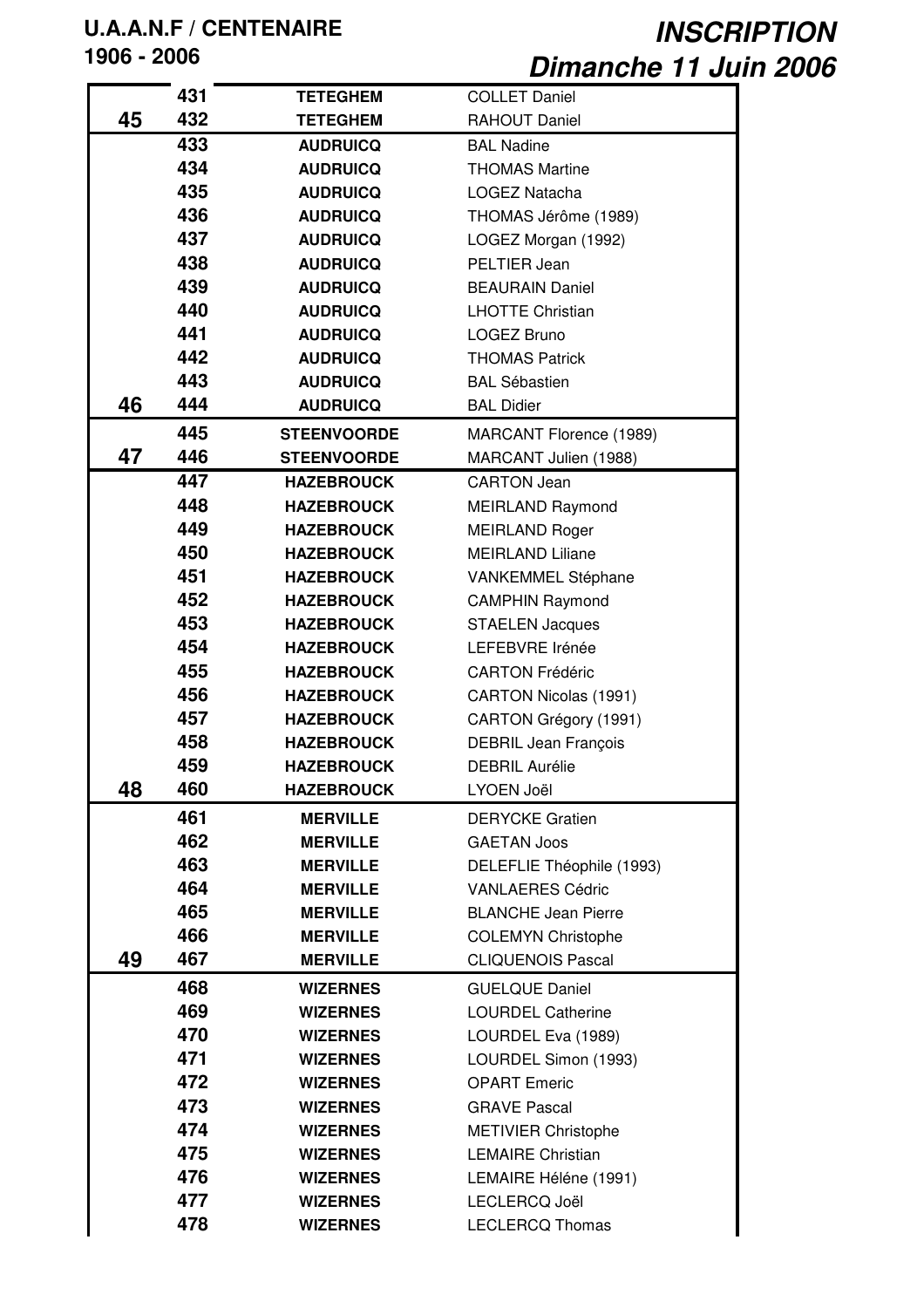|    | 431        | <b>TETEGHEM</b>    | <b>COLLET Daniel</b>         |
|----|------------|--------------------|------------------------------|
| 45 | 432        | <b>TETEGHEM</b>    | RAHOUT Daniel                |
|    | 433        | <b>AUDRUICQ</b>    | <b>BAL Nadine</b>            |
|    | 434        | <b>AUDRUICQ</b>    | <b>THOMAS Martine</b>        |
|    | 435        | <b>AUDRUICQ</b>    | LOGEZ Natacha                |
|    | 436        | <b>AUDRUICQ</b>    | THOMAS Jérôme (1989)         |
|    | 437        | <b>AUDRUICQ</b>    | LOGEZ Morgan (1992)          |
|    | 438        | <b>AUDRUICQ</b>    | PELTIER Jean                 |
|    | 439        | <b>AUDRUICQ</b>    | <b>BEAURAIN Daniel</b>       |
|    | 440        | <b>AUDRUICQ</b>    | <b>LHOTTE Christian</b>      |
|    | 441        | <b>AUDRUICQ</b>    | <b>LOGEZ Bruno</b>           |
|    | 442        | <b>AUDRUICQ</b>    | <b>THOMAS Patrick</b>        |
|    | 443        | <b>AUDRUICQ</b>    | <b>BAL Sébastien</b>         |
| 46 | 444        | <b>AUDRUICQ</b>    | <b>BAL Didier</b>            |
|    | 445        | <b>STEENVOORDE</b> | MARCANT Florence (1989)      |
| 47 | 446        | <b>STEENVOORDE</b> | MARCANT Julien (1988)        |
|    | 447        | <b>HAZEBROUCK</b>  | <b>CARTON Jean</b>           |
|    | 448        | <b>HAZEBROUCK</b>  | <b>MEIRLAND Raymond</b>      |
|    | 449        | <b>HAZEBROUCK</b>  | <b>MEIRLAND Roger</b>        |
|    | 450        | <b>HAZEBROUCK</b>  | <b>MEIRLAND Liliane</b>      |
|    | 451        | <b>HAZEBROUCK</b>  |                              |
|    | 452        |                    | VANKEMMEL Stéphane           |
|    | 453        | <b>HAZEBROUCK</b>  | <b>CAMPHIN Raymond</b>       |
|    |            | <b>HAZEBROUCK</b>  | <b>STAELEN Jacques</b>       |
|    | 454        | <b>HAZEBROUCK</b>  | LEFEBVRE Irénée              |
|    | 455<br>456 | <b>HAZEBROUCK</b>  | <b>CARTON Frédéric</b>       |
|    | 457        | <b>HAZEBROUCK</b>  | <b>CARTON Nicolas (1991)</b> |
|    |            | <b>HAZEBROUCK</b>  | CARTON Grégory (1991)        |
|    | 458        | <b>HAZEBROUCK</b>  | <b>DEBRIL Jean François</b>  |
|    | 459<br>460 | <b>HAZEBROUCK</b>  | <b>DEBRIL Aurélie</b>        |
| 48 |            | <b>HAZEBROUCK</b>  | LYOEN Joël                   |
|    | 461        | <b>MERVILLE</b>    | <b>DERYCKE Gratien</b>       |
|    | 462        | <b>MERVILLE</b>    | <b>GAETAN Joos</b>           |
|    | 463        | <b>MERVILLE</b>    | DELEFLIE Théophile (1993)    |
|    | 464        | <b>MERVILLE</b>    | <b>VANLAERES Cédric</b>      |
|    | 465        | <b>MERVILLE</b>    | <b>BLANCHE Jean Pierre</b>   |
|    | 466        | <b>MERVILLE</b>    | <b>COLEMYN Christophe</b>    |
| 49 | 467        | <b>MERVILLE</b>    | <b>CLIQUENOIS Pascal</b>     |
|    | 468        | <b>WIZERNES</b>    | <b>GUELQUE Daniel</b>        |
|    | 469        | <b>WIZERNES</b>    | <b>LOURDEL Catherine</b>     |
|    | 470        | <b>WIZERNES</b>    | LOURDEL Eva (1989)           |
|    | 471        | <b>WIZERNES</b>    | LOURDEL Simon (1993)         |
|    | 472        | <b>WIZERNES</b>    | <b>OPART Emeric</b>          |
|    | 473        | <b>WIZERNES</b>    | <b>GRAVE Pascal</b>          |
|    | 474        | <b>WIZERNES</b>    | <b>METIVIER Christophe</b>   |
|    | 475        | <b>WIZERNES</b>    | <b>LEMAIRE Christian</b>     |
|    | 476        | <b>WIZERNES</b>    | LEMAIRE Héléne (1991)        |
|    | 477        | <b>WIZERNES</b>    | LECLERCQ Joël                |
|    | 478        | <b>WIZERNES</b>    | <b>LECLERCQ Thomas</b>       |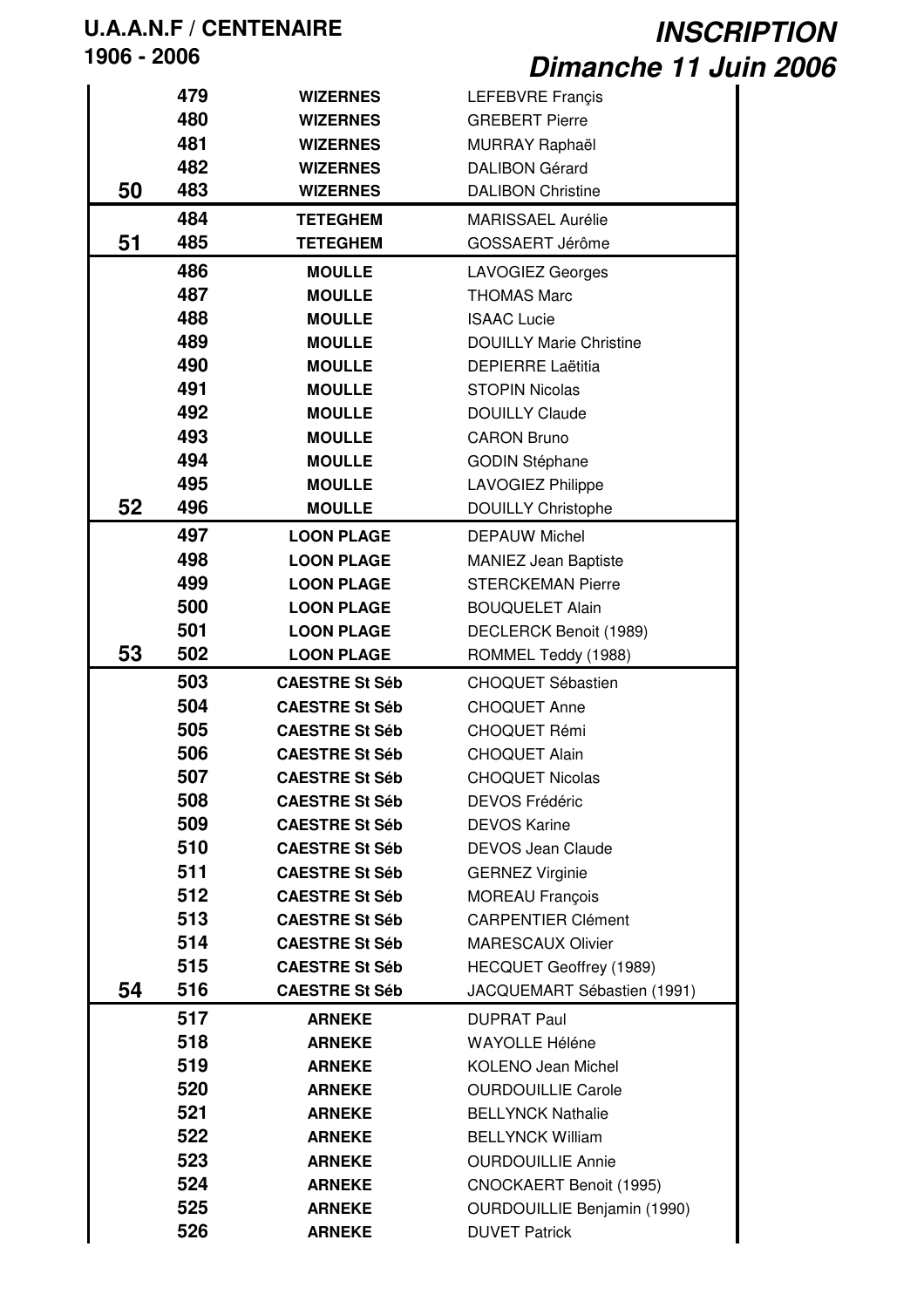|    | 479 | <b>WIZERNES</b>       | LEFEBVRE Françis                   |
|----|-----|-----------------------|------------------------------------|
|    | 480 | <b>WIZERNES</b>       | <b>GREBERT Pierre</b>              |
|    | 481 | <b>WIZERNES</b>       | MURRAY Raphaël                     |
|    | 482 | <b>WIZERNES</b>       | <b>DALIBON Gérard</b>              |
| 50 | 483 | <b>WIZERNES</b>       | <b>DALIBON Christine</b>           |
|    | 484 | <b>TETEGHEM</b>       | <b>MARISSAEL Aurélie</b>           |
| 51 | 485 | <b>TETEGHEM</b>       | GOSSAERT Jérôme                    |
|    | 486 | <b>MOULLE</b>         | <b>LAVOGIEZ Georges</b>            |
|    | 487 | <b>MOULLE</b>         | <b>THOMAS Marc</b>                 |
|    | 488 | <b>MOULLE</b>         | <b>ISAAC Lucie</b>                 |
|    | 489 | <b>MOULLE</b>         | <b>DOUILLY Marie Christine</b>     |
|    | 490 | <b>MOULLE</b>         | <b>DEPIERRE Laëtitia</b>           |
|    | 491 | <b>MOULLE</b>         | <b>STOPIN Nicolas</b>              |
|    | 492 | <b>MOULLE</b>         | <b>DOUILLY Claude</b>              |
|    | 493 | <b>MOULLE</b>         | <b>CARON Bruno</b>                 |
|    | 494 | <b>MOULLE</b>         | <b>GODIN Stéphane</b>              |
|    | 495 | <b>MOULLE</b>         | <b>LAVOGIEZ Philippe</b>           |
| 52 | 496 | <b>MOULLE</b>         | <b>DOUILLY Christophe</b>          |
|    | 497 | <b>LOON PLAGE</b>     | <b>DEPAUW Michel</b>               |
|    | 498 | <b>LOON PLAGE</b>     | <b>MANIEZ Jean Baptiste</b>        |
|    | 499 | <b>LOON PLAGE</b>     | <b>STERCKEMAN Pierre</b>           |
|    | 500 | <b>LOON PLAGE</b>     | <b>BOUQUELET Alain</b>             |
|    | 501 |                       |                                    |
| 53 | 502 | <b>LOON PLAGE</b>     | DECLERCK Benoit (1989)             |
|    |     | <b>LOON PLAGE</b>     | ROMMEL Teddy (1988)                |
|    | 503 | <b>CAESTRE St Séb</b> | <b>CHOQUET Sébastien</b>           |
|    | 504 | <b>CAESTRE St Séb</b> | <b>CHOQUET Anne</b>                |
|    | 505 | <b>CAESTRE St Séb</b> | <b>CHOQUET Rémi</b>                |
|    | 506 | <b>CAESTRE St Séb</b> | <b>CHOQUET Alain</b>               |
|    | 507 | <b>CAESTRE St Séb</b> | <b>CHOQUET Nicolas</b>             |
|    | 508 | <b>CAESTRE St Séb</b> | <b>DEVOS Frédéric</b>              |
|    | 509 | <b>CAESTRE St Séb</b> | <b>DEVOS Karine</b>                |
|    | 510 | <b>CAESTRE St Séb</b> | <b>DEVOS Jean Claude</b>           |
|    | 511 | <b>CAESTRE St Séb</b> | <b>GERNEZ Virginie</b>             |
|    | 512 | <b>CAESTRE St Séb</b> | <b>MOREAU François</b>             |
|    | 513 | <b>CAESTRE St Séb</b> | <b>CARPENTIER Clément</b>          |
|    | 514 | <b>CAESTRE St Séb</b> | <b>MARESCAUX Olivier</b>           |
|    | 515 | <b>CAESTRE St Séb</b> | HECQUET Geoffrey (1989)            |
| 54 | 516 | <b>CAESTRE St Séb</b> | JACQUEMART Sébastien (1991)        |
|    | 517 | <b>ARNEKE</b>         | <b>DUPRAT Paul</b>                 |
|    | 518 | <b>ARNEKE</b>         | <b>WAYOLLE Héléne</b>              |
|    | 519 | <b>ARNEKE</b>         | <b>KOLENO Jean Michel</b>          |
|    | 520 | <b>ARNEKE</b>         | <b>OURDOUILLIE Carole</b>          |
|    | 521 | <b>ARNEKE</b>         | <b>BELLYNCK Nathalie</b>           |
|    | 522 | <b>ARNEKE</b>         | <b>BELLYNCK William</b>            |
|    | 523 | <b>ARNEKE</b>         | <b>OURDOUILLIE Annie</b>           |
|    | 524 | <b>ARNEKE</b>         | CNOCKAERT Benoit (1995)            |
|    | 525 | <b>ARNEKE</b>         | <b>OURDOUILLIE Benjamin (1990)</b> |
|    | 526 | <b>ARNEKE</b>         | <b>DUVET Patrick</b>               |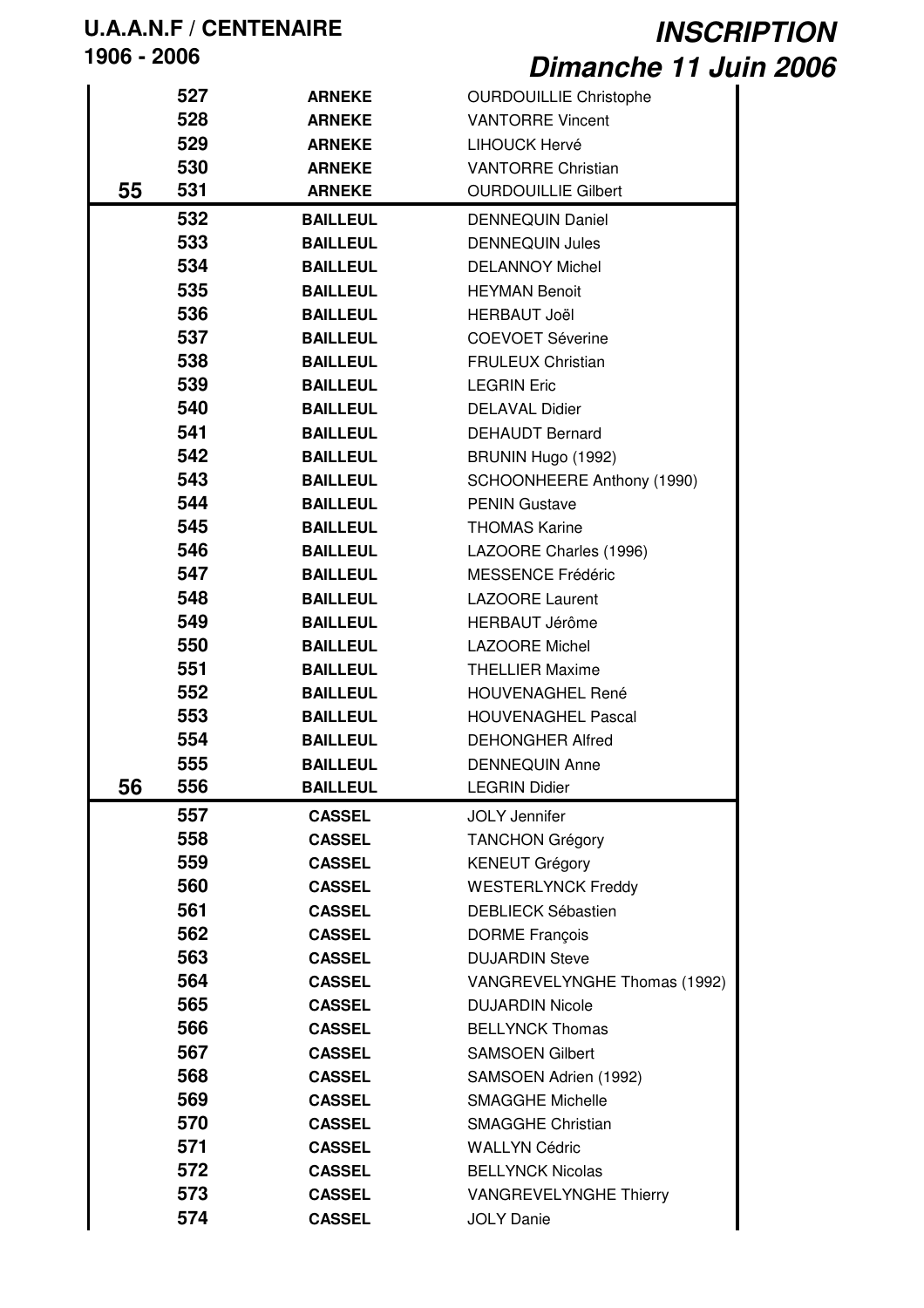|    | 527 | <b>ARNEKE</b>   | <b>OURDOUILLIE Christophe</b> |
|----|-----|-----------------|-------------------------------|
|    | 528 | <b>ARNEKE</b>   | <b>VANTORRE Vincent</b>       |
|    | 529 |                 |                               |
|    |     | <b>ARNEKE</b>   | LIHOUCK Hervé                 |
|    | 530 | <b>ARNEKE</b>   | <b>VANTORRE Christian</b>     |
| 55 | 531 | <b>ARNEKE</b>   | <b>OURDOUILLIE Gilbert</b>    |
|    | 532 | <b>BAILLEUL</b> | <b>DENNEQUIN Daniel</b>       |
|    | 533 | <b>BAILLEUL</b> | <b>DENNEQUIN Jules</b>        |
|    | 534 | <b>BAILLEUL</b> | <b>DELANNOY Michel</b>        |
|    | 535 | <b>BAILLEUL</b> | <b>HEYMAN Benoit</b>          |
|    | 536 | <b>BAILLEUL</b> | <b>HERBAUT Joël</b>           |
|    | 537 | <b>BAILLEUL</b> | <b>COEVOET Séverine</b>       |
|    | 538 | <b>BAILLEUL</b> | <b>FRULEUX Christian</b>      |
|    | 539 | <b>BAILLEUL</b> | <b>LEGRIN Eric</b>            |
|    | 540 | <b>BAILLEUL</b> | <b>DELAVAL Didier</b>         |
|    | 541 | <b>BAILLEUL</b> | <b>DEHAUDT Bernard</b>        |
|    | 542 | <b>BAILLEUL</b> | BRUNIN Hugo (1992)            |
|    | 543 | <b>BAILLEUL</b> | SCHOONHEERE Anthony (1990)    |
|    | 544 | <b>BAILLEUL</b> | <b>PENIN Gustave</b>          |
|    | 545 | <b>BAILLEUL</b> | <b>THOMAS Karine</b>          |
|    | 546 | <b>BAILLEUL</b> | LAZOORE Charles (1996)        |
|    | 547 | <b>BAILLEUL</b> | <b>MESSENCE Frédéric</b>      |
|    | 548 | <b>BAILLEUL</b> | <b>LAZOORE Laurent</b>        |
|    | 549 | <b>BAILLEUL</b> | HERBAUT Jérôme                |
|    | 550 | <b>BAILLEUL</b> | <b>LAZOORE Michel</b>         |
|    | 551 | <b>BAILLEUL</b> | <b>THELLIER Maxime</b>        |
|    | 552 | <b>BAILLEUL</b> | <b>HOUVENAGHEL René</b>       |
|    | 553 | <b>BAILLEUL</b> | <b>HOUVENAGHEL Pascal</b>     |
|    | 554 | <b>BAILLEUL</b> | <b>DEHONGHER Alfred</b>       |
|    | 555 | <b>BAILLEUL</b> | <b>DENNEQUIN Anne</b>         |
| 56 | 556 | <b>BAILLEUL</b> | <b>LEGRIN Didier</b>          |
|    | 557 | <b>CASSEL</b>   | <b>JOLY Jennifer</b>          |
|    | 558 | <b>CASSEL</b>   | <b>TANCHON Grégory</b>        |
|    | 559 | <b>CASSEL</b>   | <b>KENEUT Grégory</b>         |
|    | 560 | <b>CASSEL</b>   | <b>WESTERLYNCK Freddy</b>     |
|    | 561 | <b>CASSEL</b>   | <b>DEBLIECK Sébastien</b>     |
|    | 562 | <b>CASSEL</b>   | <b>DORME François</b>         |
|    | 563 | <b>CASSEL</b>   | <b>DUJARDIN Steve</b>         |
|    | 564 | <b>CASSEL</b>   | VANGREVELYNGHE Thomas (1992)  |
|    | 565 | <b>CASSEL</b>   | <b>DUJARDIN Nicole</b>        |
|    | 566 | <b>CASSEL</b>   | <b>BELLYNCK Thomas</b>        |
|    | 567 | <b>CASSEL</b>   | <b>SAMSOEN Gilbert</b>        |
|    | 568 | <b>CASSEL</b>   | SAMSOEN Adrien (1992)         |
|    | 569 | <b>CASSEL</b>   | <b>SMAGGHE Michelle</b>       |
|    | 570 | <b>CASSEL</b>   | <b>SMAGGHE Christian</b>      |
|    | 571 | <b>CASSEL</b>   | <b>WALLYN Cédric</b>          |
|    | 572 | <b>CASSEL</b>   | <b>BELLYNCK Nicolas</b>       |
|    | 573 | <b>CASSEL</b>   | <b>VANGREVELYNGHE Thierry</b> |
|    | 574 | <b>CASSEL</b>   | <b>JOLY Danie</b>             |
|    |     |                 |                               |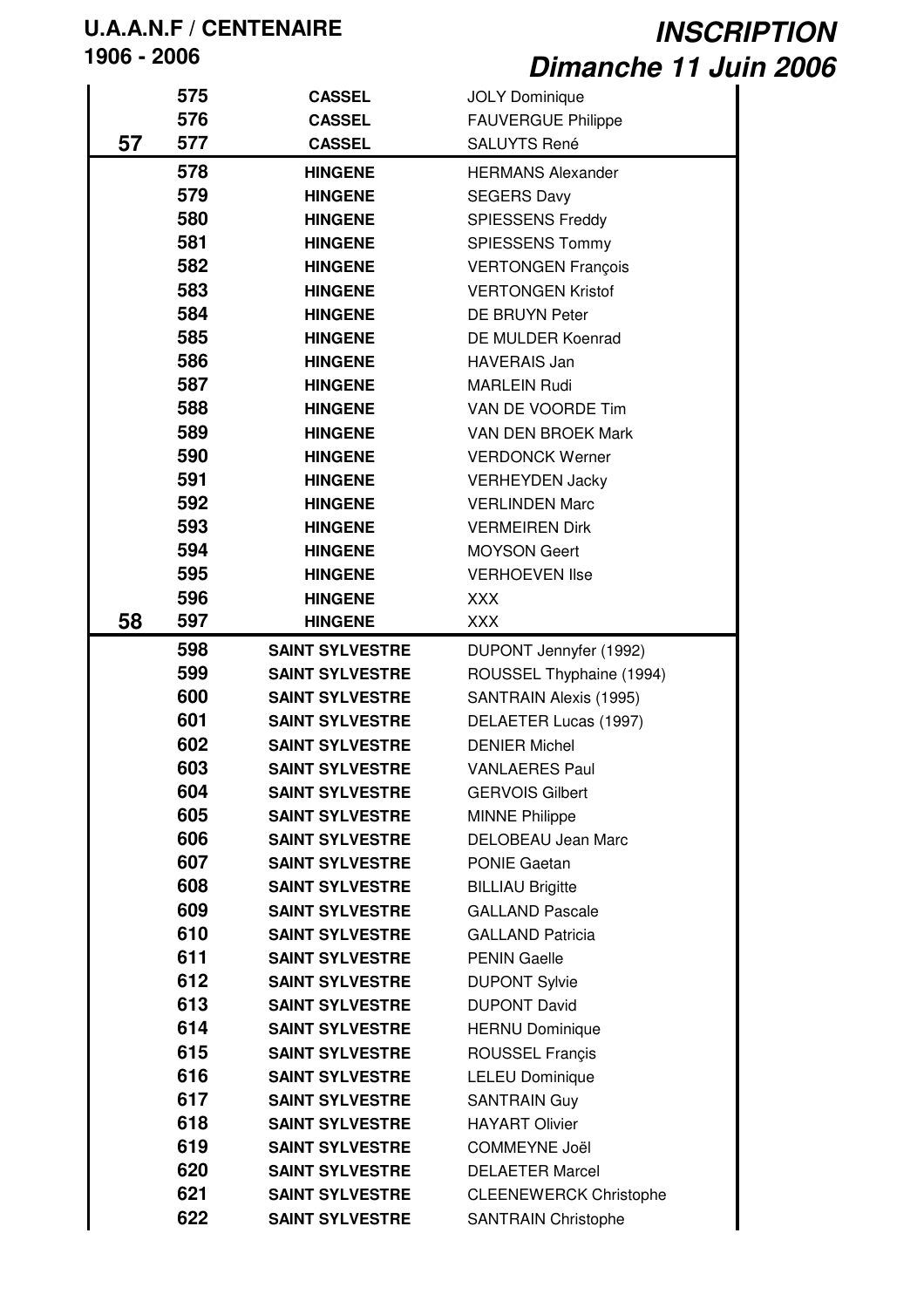|    | 575 | <b>CASSEL</b>          | <b>JOLY Dominique</b>         |
|----|-----|------------------------|-------------------------------|
|    | 576 | <b>CASSEL</b>          | <b>FAUVERGUE Philippe</b>     |
| 57 | 577 | <b>CASSEL</b>          | <b>SALUYTS René</b>           |
|    | 578 | <b>HINGENE</b>         | <b>HERMANS Alexander</b>      |
|    | 579 | <b>HINGENE</b>         | <b>SEGERS Davy</b>            |
|    | 580 | <b>HINGENE</b>         | <b>SPIESSENS Freddy</b>       |
|    | 581 | <b>HINGENE</b>         | <b>SPIESSENS Tommy</b>        |
|    | 582 | <b>HINGENE</b>         | <b>VERTONGEN François</b>     |
|    | 583 | <b>HINGENE</b>         | <b>VERTONGEN Kristof</b>      |
|    | 584 | <b>HINGENE</b>         | DE BRUYN Peter                |
|    | 585 | <b>HINGENE</b>         | DE MULDER Koenrad             |
|    | 586 | <b>HINGENE</b>         | <b>HAVERAIS Jan</b>           |
|    | 587 | <b>HINGENE</b>         | <b>MARLEIN Rudi</b>           |
|    | 588 | <b>HINGENE</b>         | VAN DE VOORDE Tim             |
|    | 589 | <b>HINGENE</b>         | <b>VAN DEN BROEK Mark</b>     |
|    | 590 | <b>HINGENE</b>         | <b>VERDONCK Werner</b>        |
|    | 591 | <b>HINGENE</b>         | <b>VERHEYDEN Jacky</b>        |
|    | 592 | <b>HINGENE</b>         | <b>VERLINDEN Marc</b>         |
|    | 593 | <b>HINGENE</b>         | <b>VERMEIREN Dirk</b>         |
|    | 594 | <b>HINGENE</b>         | <b>MOYSON Geert</b>           |
|    | 595 | <b>HINGENE</b>         | <b>VERHOEVEN Ilse</b>         |
|    | 596 | <b>HINGENE</b>         | XXX                           |
| 58 | 597 | <b>HINGENE</b>         | <b>XXX</b>                    |
|    | 598 | <b>SAINT SYLVESTRE</b> | DUPONT Jennyfer (1992)        |
|    | 599 | <b>SAINT SYLVESTRE</b> | ROUSSEL Thyphaine (1994)      |
|    | 600 | <b>SAINT SYLVESTRE</b> | SANTRAIN Alexis (1995)        |
|    | 601 | <b>SAINT SYLVESTRE</b> | DELAETER Lucas (1997)         |
|    | 602 | <b>SAINT SYLVESTRE</b> | <b>DENIER Michel</b>          |
|    | 603 | <b>SAINT SYLVESTRE</b> | <b>VANLAERES Paul</b>         |
|    | 604 | <b>SAINT SYLVESTRE</b> | <b>GERVOIS Gilbert</b>        |
|    | 605 | <b>SAINT SYLVESTRE</b> | <b>MINNE Philippe</b>         |
|    | 606 | <b>SAINT SYLVESTRE</b> | <b>DELOBEAU Jean Marc</b>     |
|    | 607 | <b>SAINT SYLVESTRE</b> | <b>PONIE Gaetan</b>           |
|    | 608 | <b>SAINT SYLVESTRE</b> | <b>BILLIAU Brigitte</b>       |
|    | 609 | <b>SAINT SYLVESTRE</b> | <b>GALLAND Pascale</b>        |
|    | 610 | <b>SAINT SYLVESTRE</b> | <b>GALLAND Patricia</b>       |
|    | 611 | <b>SAINT SYLVESTRE</b> | <b>PENIN Gaelle</b>           |
|    | 612 | <b>SAINT SYLVESTRE</b> | <b>DUPONT Sylvie</b>          |
|    | 613 | <b>SAINT SYLVESTRE</b> | <b>DUPONT David</b>           |
|    | 614 | <b>SAINT SYLVESTRE</b> | <b>HERNU Dominique</b>        |
|    | 615 | <b>SAINT SYLVESTRE</b> | <b>ROUSSEL Francis</b>        |
|    | 616 | <b>SAINT SYLVESTRE</b> | <b>LELEU Dominique</b>        |
|    | 617 | <b>SAINT SYLVESTRE</b> | <b>SANTRAIN Guy</b>           |
|    | 618 | <b>SAINT SYLVESTRE</b> | <b>HAYART Olivier</b>         |
|    | 619 | <b>SAINT SYLVESTRE</b> | COMMEYNE Joël                 |
|    | 620 | <b>SAINT SYLVESTRE</b> | <b>DELAETER Marcel</b>        |
|    | 621 | <b>SAINT SYLVESTRE</b> | <b>CLEENEWERCK Christophe</b> |
|    | 622 | <b>SAINT SYLVESTRE</b> | <b>SANTRAIN Christophe</b>    |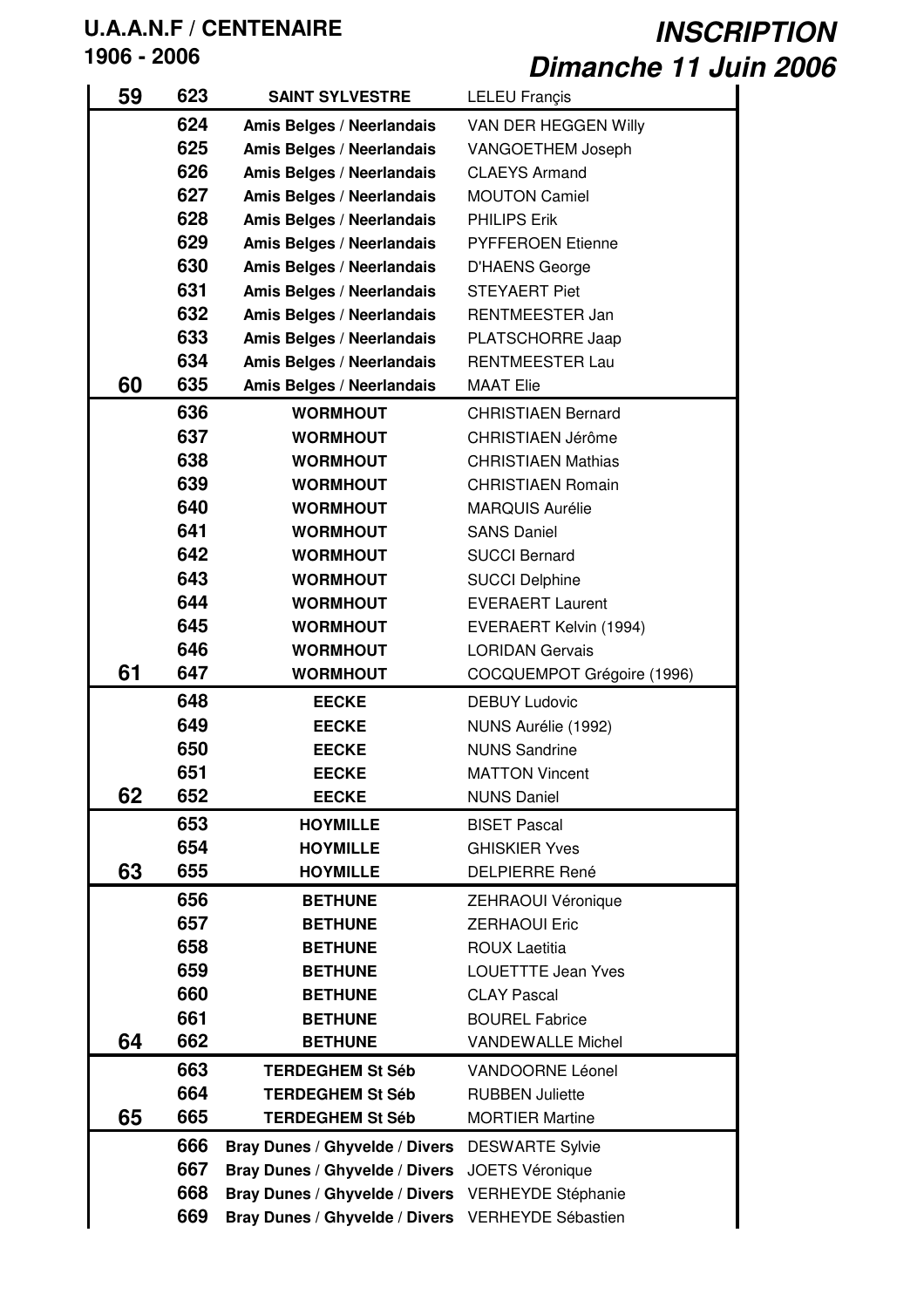| 59 | 623 | <b>SAINT SYLVESTRE</b>         | LELEU Françis              |
|----|-----|--------------------------------|----------------------------|
|    | 624 | Amis Belges / Neerlandais      | VAN DER HEGGEN Willy       |
|    | 625 | Amis Belges / Neerlandais      | <b>VANGOETHEM Joseph</b>   |
|    | 626 | Amis Belges / Neerlandais      | <b>CLAEYS Armand</b>       |
|    | 627 | Amis Belges / Neerlandais      | <b>MOUTON Camiel</b>       |
|    | 628 | Amis Belges / Neerlandais      | <b>PHILIPS Erik</b>        |
|    | 629 | Amis Belges / Neerlandais      | <b>PYFFEROEN Etienne</b>   |
|    | 630 | Amis Belges / Neerlandais      | <b>D'HAENS George</b>      |
|    | 631 | Amis Belges / Neerlandais      | <b>STEYAERT Piet</b>       |
|    | 632 | Amis Belges / Neerlandais      | RENTMEESTER Jan            |
|    | 633 | Amis Belges / Neerlandais      | PLATSCHORRE Jaap           |
|    | 634 | Amis Belges / Neerlandais      | <b>RENTMEESTER Lau</b>     |
| 60 | 635 | Amis Belges / Neerlandais      | <b>MAAT Elie</b>           |
|    | 636 | <b>WORMHOUT</b>                | <b>CHRISTIAEN Bernard</b>  |
|    | 637 | <b>WORMHOUT</b>                | CHRISTIAEN Jérôme          |
|    | 638 | <b>WORMHOUT</b>                | <b>CHRISTIAEN Mathias</b>  |
|    | 639 | <b>WORMHOUT</b>                | <b>CHRISTIAEN Romain</b>   |
|    | 640 | <b>WORMHOUT</b>                | <b>MARQUIS Aurélie</b>     |
|    | 641 | <b>WORMHOUT</b>                | <b>SANS Daniel</b>         |
|    | 642 | <b>WORMHOUT</b>                | <b>SUCCI Bernard</b>       |
|    | 643 | <b>WORMHOUT</b>                | <b>SUCCI Delphine</b>      |
|    | 644 | <b>WORMHOUT</b>                | <b>EVERAERT Laurent</b>    |
|    | 645 | <b>WORMHOUT</b>                | EVERAERT Kelvin (1994)     |
|    | 646 | <b>WORMHOUT</b>                | <b>LORIDAN Gervais</b>     |
| 61 | 647 | <b>WORMHOUT</b>                | COCQUEMPOT Grégoire (1996) |
|    | 648 | <b>EECKE</b>                   | <b>DEBUY Ludovic</b>       |
|    | 649 | <b>EECKE</b>                   | NUNS Aurélie (1992)        |
|    | 650 | <b>EECKE</b>                   | <b>NUNS Sandrine</b>       |
|    | 651 | <b>EECKE</b>                   | <b>MATTON Vincent</b>      |
| 62 | 652 | <b>EECKE</b>                   | <b>NUNS Daniel</b>         |
|    | 653 | <b>HOYMILLE</b>                | <b>BISET Pascal</b>        |
|    | 654 | <b>HOYMILLE</b>                | <b>GHISKIER Yves</b>       |
| 63 | 655 | <b>HOYMILLE</b>                | <b>DELPIERRE René</b>      |
|    | 656 | <b>BETHUNE</b>                 | ZEHRAOUI Véronique         |
|    | 657 | <b>BETHUNE</b>                 | <b>ZERHAOUI Eric</b>       |
|    | 658 | <b>BETHUNE</b>                 | <b>ROUX Laetitia</b>       |
|    | 659 | <b>BETHUNE</b>                 | <b>LOUETTTE Jean Yves</b>  |
|    | 660 | <b>BETHUNE</b>                 | <b>CLAY Pascal</b>         |
|    | 661 | <b>BETHUNE</b>                 | <b>BOUREL Fabrice</b>      |
| 64 | 662 | <b>BETHUNE</b>                 | <b>VANDEWALLE Michel</b>   |
|    | 663 | <b>TERDEGHEM St Séb</b>        | VANDOORNE Léonel           |
|    | 664 | <b>TERDEGHEM St Séb</b>        | <b>RUBBEN Juliette</b>     |
| 65 | 665 | <b>TERDEGHEM St Séb</b>        | <b>MORTIER Martine</b>     |
|    |     |                                |                            |
|    | 666 | Bray Dunes / Ghyvelde / Divers | <b>DESWARTE Sylvie</b>     |
|    | 667 | Bray Dunes / Ghyvelde / Divers | <b>JOETS Véronique</b>     |
|    | 668 | Bray Dunes / Ghyvelde / Divers | VERHEYDE Stéphanie         |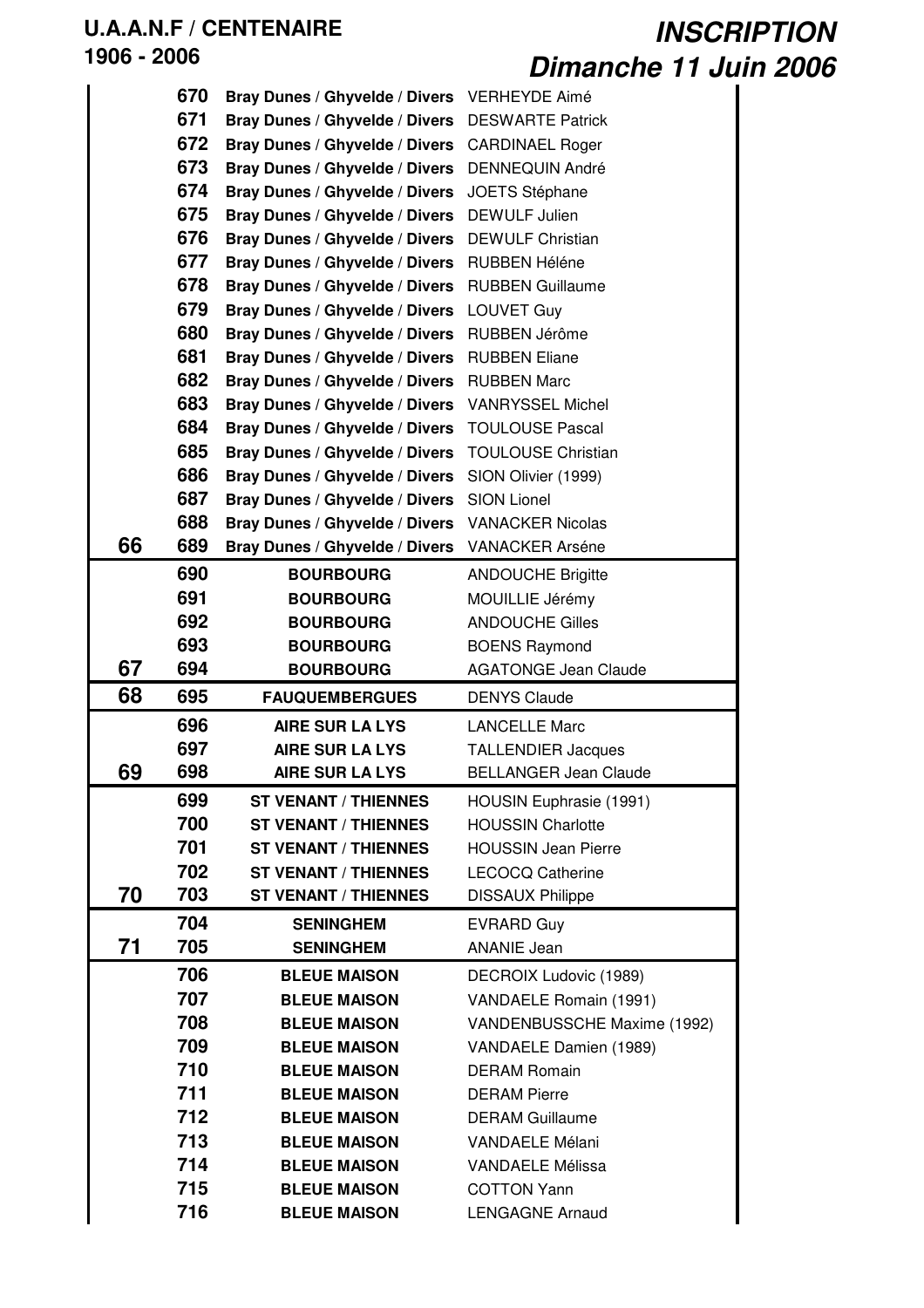|    | 670 | Bray Dunes / Ghyvelde / Divers VERHEYDE Aimé |                              |
|----|-----|----------------------------------------------|------------------------------|
|    | 671 | Bray Dunes / Ghyvelde / Divers               | <b>DESWARTE Patrick</b>      |
|    | 672 | Bray Dunes / Ghyvelde / Divers               | <b>CARDINAEL Roger</b>       |
|    | 673 | Bray Dunes / Ghyvelde / Divers               | <b>DENNEQUIN André</b>       |
|    | 674 | Bray Dunes / Ghyvelde / Divers               | <b>JOETS Stéphane</b>        |
|    | 675 | Bray Dunes / Ghyvelde / Divers               | <b>DEWULF Julien</b>         |
|    | 676 | Bray Dunes / Ghyvelde / Divers               | <b>DEWULF Christian</b>      |
|    | 677 | Bray Dunes / Ghyvelde / Divers RUBBEN Héléne |                              |
|    | 678 | Bray Dunes / Ghyvelde / Divers               | <b>RUBBEN Guillaume</b>      |
|    | 679 | Bray Dunes / Ghyvelde / Divers LOUVET Guy    |                              |
|    | 680 | Bray Dunes / Ghyvelde / Divers               | RUBBEN Jérôme                |
|    | 681 | Bray Dunes / Ghyvelde / Divers RUBBEN Eliane |                              |
|    | 682 | Bray Dunes / Ghyvelde / Divers               | <b>RUBBEN Marc</b>           |
|    | 683 | Bray Dunes / Ghyvelde / Divers               | <b>VANRYSSEL Michel</b>      |
|    | 684 | Bray Dunes / Ghyvelde / Divers               | <b>TOULOUSE Pascal</b>       |
|    | 685 | Bray Dunes / Ghyvelde / Divers               | <b>TOULOUSE Christian</b>    |
|    | 686 | Bray Dunes / Ghyvelde / Divers               | SION Olivier (1999)          |
|    | 687 | Bray Dunes / Ghyvelde / Divers               | <b>SION Lionel</b>           |
|    | 688 | Bray Dunes / Ghyvelde / Divers               | <b>VANACKER Nicolas</b>      |
| 66 | 689 | Bray Dunes / Ghyvelde / Divers               | <b>VANACKER Arséne</b>       |
|    | 690 | <b>BOURBOURG</b>                             | <b>ANDOUCHE Brigitte</b>     |
|    | 691 | <b>BOURBOURG</b>                             | MOUILLIE Jérémy              |
|    | 692 | <b>BOURBOURG</b>                             | <b>ANDOUCHE Gilles</b>       |
|    | 693 | <b>BOURBOURG</b>                             | <b>BOENS Raymond</b>         |
| 67 | 694 | <b>BOURBOURG</b>                             | <b>AGATONGE Jean Claude</b>  |
| 68 | 695 | <b>FAUQUEMBERGUES</b>                        | <b>DENYS Claude</b>          |
|    | 696 | <b>AIRE SUR LA LYS</b>                       | <b>LANCELLE Marc</b>         |
|    | 697 | <b>AIRE SUR LA LYS</b>                       | <b>TALLENDIER Jacques</b>    |
| 69 | 698 | AIRE SUR LA LYS                              | <b>BELLANGER Jean Claude</b> |
|    | 699 | <b>ST VENANT / THIENNES</b>                  | HOUSIN Euphrasie (1991)      |
|    | 700 | <b>ST VENANT / THIENNES</b>                  | <b>HOUSSIN Charlotte</b>     |
|    | 701 | <b>ST VENANT / THIENNES</b>                  | <b>HOUSSIN Jean Pierre</b>   |
|    | 702 | <b>ST VENANT / THIENNES</b>                  | <b>LECOCQ Catherine</b>      |
| 70 | 703 | <b>ST VENANT / THIENNES</b>                  | <b>DISSAUX Philippe</b>      |
|    | 704 | <b>SENINGHEM</b>                             | <b>EVRARD Guy</b>            |
| 71 | 705 | <b>SENINGHEM</b>                             | <b>ANANIE Jean</b>           |
|    | 706 | <b>BLEUE MAISON</b>                          | DECROIX Ludovic (1989)       |
|    | 707 | <b>BLEUE MAISON</b>                          | VANDAELE Romain (1991)       |
|    | 708 | <b>BLEUE MAISON</b>                          | VANDENBUSSCHE Maxime (1992)  |
|    | 709 | <b>BLEUE MAISON</b>                          | VANDAELE Damien (1989)       |
|    | 710 | <b>BLEUE MAISON</b>                          | <b>DERAM Romain</b>          |
|    | 711 | <b>BLEUE MAISON</b>                          | <b>DERAM Pierre</b>          |
|    | 712 | <b>BLEUE MAISON</b>                          | <b>DERAM Guillaume</b>       |
|    | 713 | <b>BLEUE MAISON</b>                          | <b>VANDAELE Mélani</b>       |
|    | 714 | <b>BLEUE MAISON</b>                          | <b>VANDAELE Mélissa</b>      |
|    | 715 | <b>BLEUE MAISON</b>                          | <b>COTTON Yann</b>           |
|    | 716 | <b>BLEUE MAISON</b>                          | <b>LENGAGNE Arnaud</b>       |
|    |     |                                              |                              |